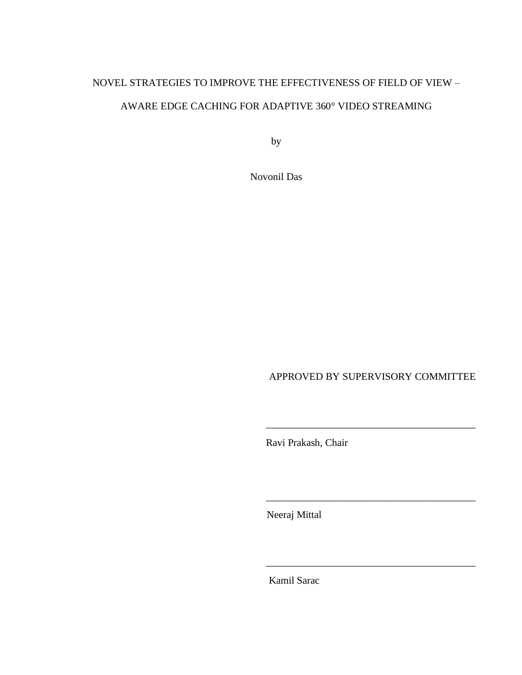# NOVEL STRATEGIES TO IMPROVE THE EFFECTIVENESS OF FIELD OF VIEW – AWARE EDGE CACHING FOR ADAPTIVE 360° VIDEO STREAMING

by

Novonil Das

APPROVED BY SUPERVISORY COMMITTEE

\_\_\_\_\_\_\_\_\_\_\_\_\_\_\_\_\_\_\_\_\_\_\_\_\_\_\_\_\_\_\_\_\_\_\_\_\_\_\_\_\_

\_\_\_\_\_\_\_\_\_\_\_\_\_\_\_\_\_\_\_\_\_\_\_\_\_\_\_\_\_\_\_\_\_\_\_\_\_\_\_\_\_

\_\_\_\_\_\_\_\_\_\_\_\_\_\_\_\_\_\_\_\_\_\_\_\_\_\_\_\_\_\_\_\_\_\_\_\_\_\_\_\_\_

Ravi Prakash, Chair

Neeraj Mittal

Kamil Sarac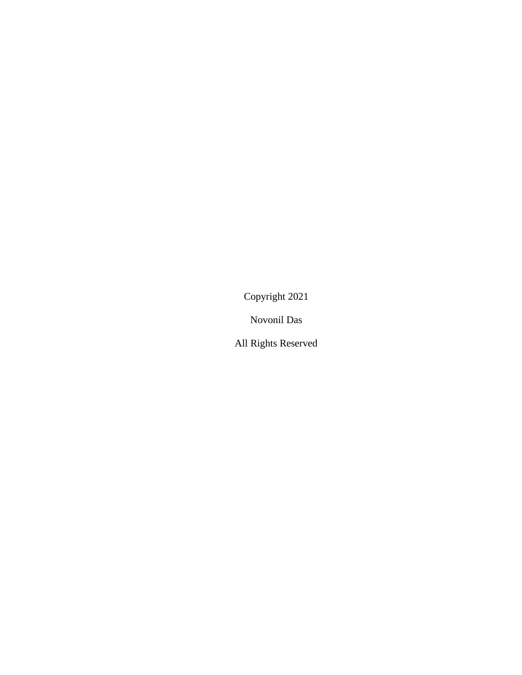Copyright 2021

Novonil Das

All Rights Reserved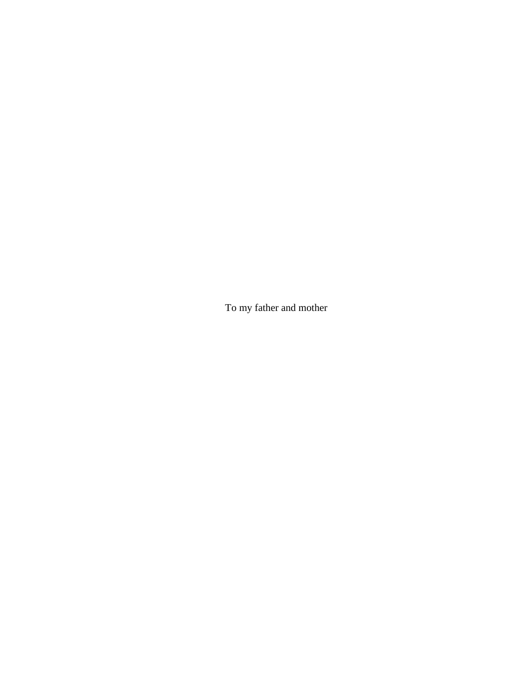To my father and mother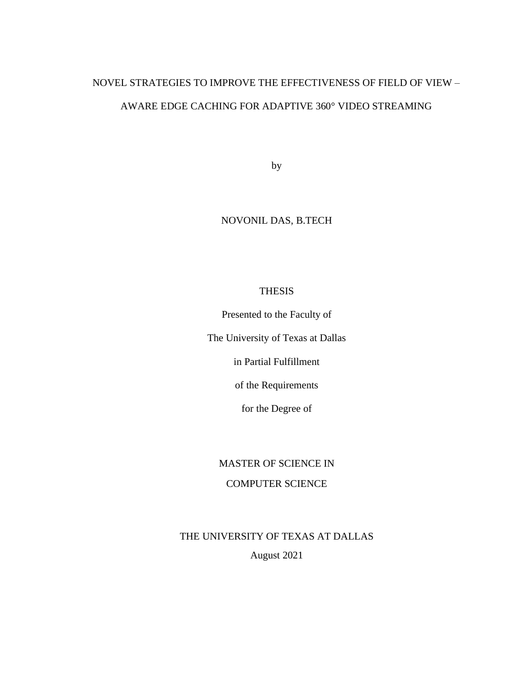# NOVEL STRATEGIES TO IMPROVE THE EFFECTIVENESS OF FIELD OF VIEW – AWARE EDGE CACHING FOR ADAPTIVE 360° VIDEO STREAMING

by

## NOVONIL DAS, B.TECH

### THESIS

Presented to the Faculty of

The University of Texas at Dallas

in Partial Fulfillment

of the Requirements

for the Degree of

### MASTER OF SCIENCE IN

## COMPUTER SCIENCE

THE UNIVERSITY OF TEXAS AT DALLAS August 2021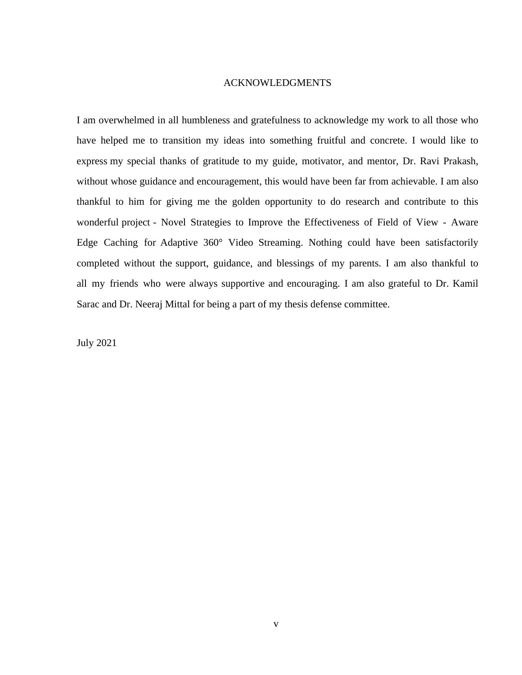#### ACKNOWLEDGMENTS

I am overwhelmed in all humbleness and gratefulness to acknowledge my work to all those who have helped me to transition my ideas into something fruitful and concrete. I would like to express my special thanks of gratitude to my guide, motivator, and mentor, Dr. Ravi Prakash, without whose guidance and encouragement, this would have been far from achievable. I am also thankful to him for giving me the golden opportunity to do research and contribute to this wonderful project - Novel Strategies to Improve the Effectiveness of Field of View - Aware Edge Caching for Adaptive 360° Video Streaming. Nothing could have been satisfactorily completed without the support, guidance, and blessings of my parents. I am also thankful to all my friends who were always supportive and encouraging. I am also grateful to Dr. Kamil Sarac and Dr. Neeraj Mittal for being a part of my thesis defense committee.

July 2021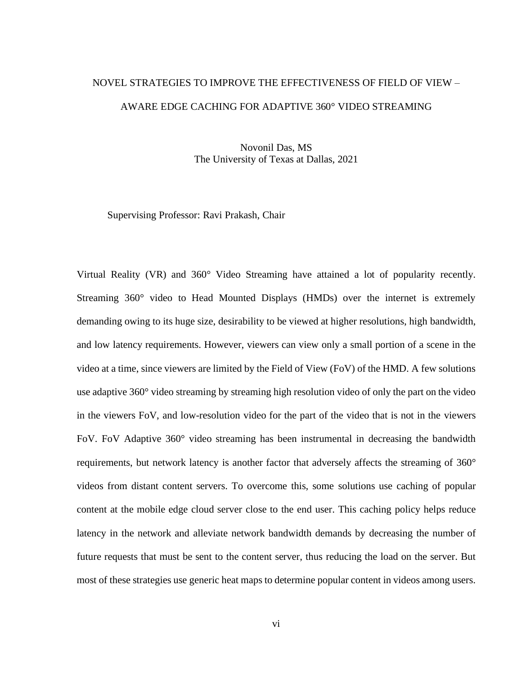# NOVEL STRATEGIES TO IMPROVE THE EFFECTIVENESS OF FIELD OF VIEW – AWARE EDGE CACHING FOR ADAPTIVE 360° VIDEO STREAMING

Novonil Das, MS The University of Texas at Dallas, 2021

Supervising Professor: Ravi Prakash, Chair

Virtual Reality (VR) and 360° Video Streaming have attained a lot of popularity recently. Streaming 360° video to Head Mounted Displays (HMDs) over the internet is extremely demanding owing to its huge size, desirability to be viewed at higher resolutions, high bandwidth, and low latency requirements. However, viewers can view only a small portion of a scene in the video at a time, since viewers are limited by the Field of View (FoV) of the HMD. A few solutions use adaptive 360° video streaming by streaming high resolution video of only the part on the video in the viewers FoV, and low-resolution video for the part of the video that is not in the viewers FoV. FoV Adaptive 360° video streaming has been instrumental in decreasing the bandwidth requirements, but network latency is another factor that adversely affects the streaming of 360° videos from distant content servers. To overcome this, some solutions use caching of popular content at the mobile edge cloud server close to the end user. This caching policy helps reduce latency in the network and alleviate network bandwidth demands by decreasing the number of future requests that must be sent to the content server, thus reducing the load on the server. But most of these strategies use generic heat maps to determine popular content in videos among users.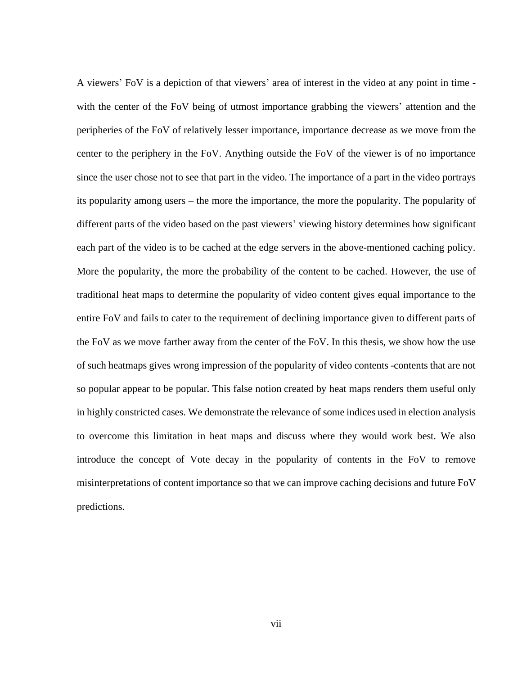A viewers' FoV is a depiction of that viewers' area of interest in the video at any point in time with the center of the FoV being of utmost importance grabbing the viewers' attention and the peripheries of the FoV of relatively lesser importance, importance decrease as we move from the center to the periphery in the FoV. Anything outside the FoV of the viewer is of no importance since the user chose not to see that part in the video. The importance of a part in the video portrays its popularity among users – the more the importance, the more the popularity. The popularity of different parts of the video based on the past viewers' viewing history determines how significant each part of the video is to be cached at the edge servers in the above-mentioned caching policy. More the popularity, the more the probability of the content to be cached. However, the use of traditional heat maps to determine the popularity of video content gives equal importance to the entire FoV and fails to cater to the requirement of declining importance given to different parts of the FoV as we move farther away from the center of the FoV. In this thesis, we show how the use of such heatmaps gives wrong impression of the popularity of video contents -contents that are not so popular appear to be popular. This false notion created by heat maps renders them useful only in highly constricted cases. We demonstrate the relevance of some indices used in election analysis to overcome this limitation in heat maps and discuss where they would work best. We also introduce the concept of Vote decay in the popularity of contents in the FoV to remove misinterpretations of content importance so that we can improve caching decisions and future FoV predictions.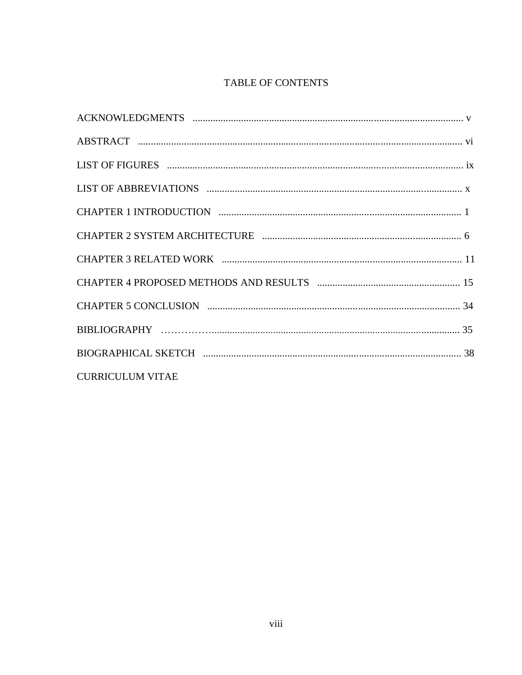## TABLE OF CONTENTS

| <b>CURRICULUM VITAE</b> |  |
|-------------------------|--|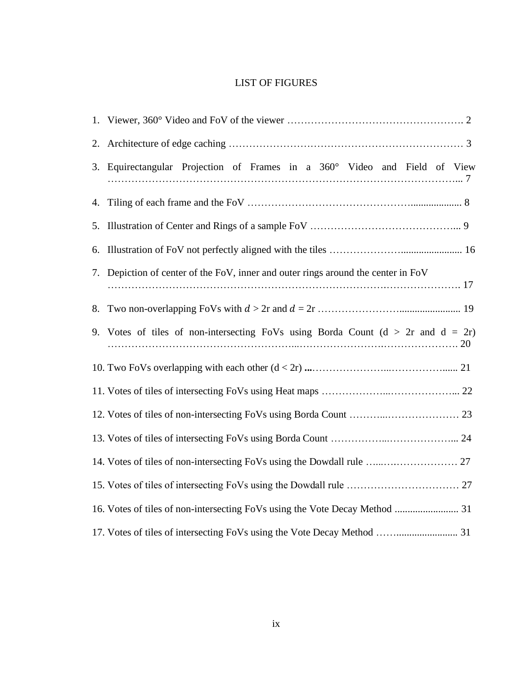## LIST OF FIGURES

|    | 3. Equirectangular Projection of Frames in a 360° Video and Field of View             |
|----|---------------------------------------------------------------------------------------|
|    |                                                                                       |
|    |                                                                                       |
| 6. |                                                                                       |
|    | 7. Depiction of center of the FoV, inner and outer rings around the center in FoV     |
| 8. |                                                                                       |
|    | 9. Votes of tiles of non-intersecting FoVs using Borda Count $(d > 2r$ and $d = 2r$ ) |
|    |                                                                                       |
|    |                                                                                       |
|    |                                                                                       |
|    |                                                                                       |
|    |                                                                                       |
|    |                                                                                       |
|    |                                                                                       |
|    |                                                                                       |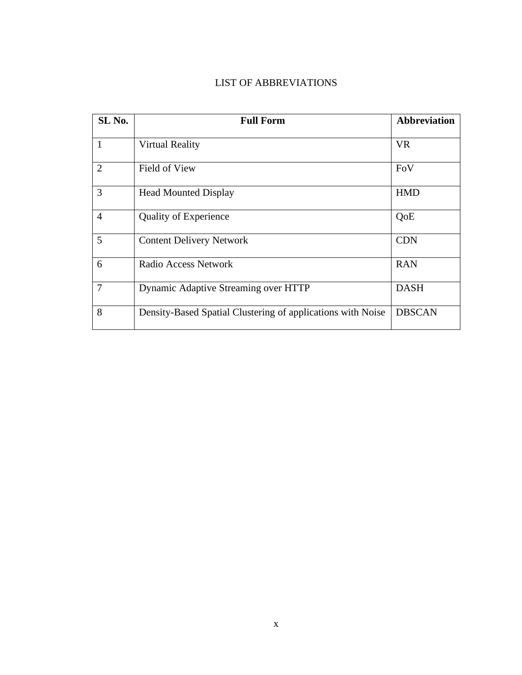## LIST OF ABBREVIATIONS

| SL <sub>No.</sub> | <b>Full Form</b>                                            | <b>Abbreviation</b> |
|-------------------|-------------------------------------------------------------|---------------------|
| 1                 | <b>Virtual Reality</b>                                      | <b>VR</b>           |
| $\overline{2}$    | Field of View                                               | FoV                 |
| 3                 | <b>Head Mounted Display</b>                                 | <b>HMD</b>          |
| $\overline{4}$    | <b>Quality of Experience</b>                                | QoE                 |
| 5                 | <b>Content Delivery Network</b>                             | <b>CDN</b>          |
| 6                 | Radio Access Network                                        | <b>RAN</b>          |
| $\overline{7}$    | Dynamic Adaptive Streaming over HTTP                        | <b>DASH</b>         |
| 8                 | Density-Based Spatial Clustering of applications with Noise | <b>DBSCAN</b>       |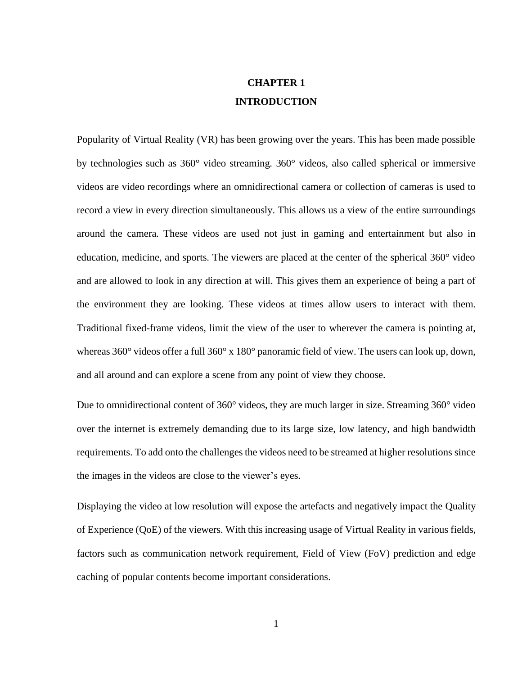## **CHAPTER 1 INTRODUCTION**

Popularity of Virtual Reality (VR) has been growing over the years. This has been made possible by technologies such as 360° video streaming. 360° videos, also called spherical or immersive videos are video recordings where an omnidirectional camera or collection of cameras is used to record a view in every direction simultaneously. This allows us a view of the entire surroundings around the camera. These videos are used not just in gaming and entertainment but also in education, medicine, and sports. The viewers are placed at the center of the spherical 360° video and are allowed to look in any direction at will. This gives them an experience of being a part of the environment they are looking. These videos at times allow users to interact with them. Traditional fixed-frame videos, limit the view of the user to wherever the camera is pointing at, whereas 360° videos offer a full 360° x 180° panoramic field of view. The users can look up, down, and all around and can explore a scene from any point of view they choose.

Due to omnidirectional content of 360° videos, they are much larger in size. Streaming 360° video over the internet is extremely demanding due to its large size, low latency, and high bandwidth requirements. To add onto the challenges the videos need to be streamed at higher resolutions since the images in the videos are close to the viewer's eyes.

Displaying the video at low resolution will expose the artefacts and negatively impact the Quality of Experience (QoE) of the viewers. With this increasing usage of Virtual Reality in various fields, factors such as communication network requirement, Field of View (FoV) prediction and edge caching of popular contents become important considerations.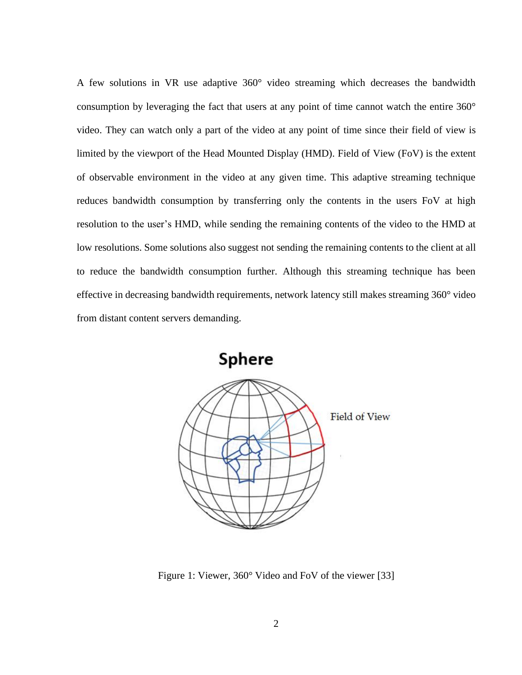A few solutions in VR use adaptive 360° video streaming which decreases the bandwidth consumption by leveraging the fact that users at any point of time cannot watch the entire 360° video. They can watch only a part of the video at any point of time since their field of view is limited by the viewport of the Head Mounted Display (HMD). Field of View (FoV) is the extent of observable environment in the video at any given time. This adaptive streaming technique reduces bandwidth consumption by transferring only the contents in the users FoV at high resolution to the user's HMD, while sending the remaining contents of the video to the HMD at low resolutions. Some solutions also suggest not sending the remaining contents to the client at all to reduce the bandwidth consumption further. Although this streaming technique has been effective in decreasing bandwidth requirements, network latency still makes streaming 360° video from distant content servers demanding.



Figure 1: Viewer, 360° Video and FoV of the viewer [33]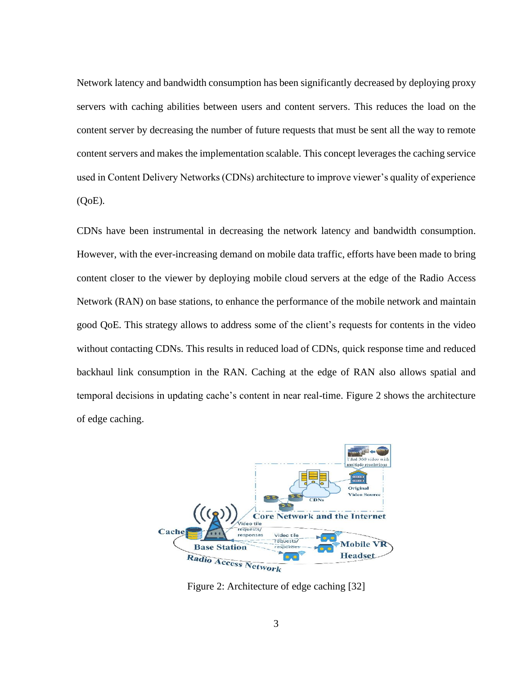Network latency and bandwidth consumption has been significantly decreased by deploying proxy servers with caching abilities between users and content servers. This reduces the load on the content server by decreasing the number of future requests that must be sent all the way to remote content servers and makes the implementation scalable. This concept leverages the caching service used in Content Delivery Networks (CDNs) architecture to improve viewer's quality of experience (QoE).

CDNs have been instrumental in decreasing the network latency and bandwidth consumption. However, with the ever-increasing demand on mobile data traffic, efforts have been made to bring content closer to the viewer by deploying mobile cloud servers at the edge of the Radio Access Network (RAN) on base stations, to enhance the performance of the mobile network and maintain good QoE. This strategy allows to address some of the client's requests for contents in the video without contacting CDNs. This results in reduced load of CDNs, quick response time and reduced backhaul link consumption in the RAN. Caching at the edge of RAN also allows spatial and temporal decisions in updating cache's content in near real-time. Figure 2 shows the architecture of edge caching.



Figure 2: Architecture of edge caching [32]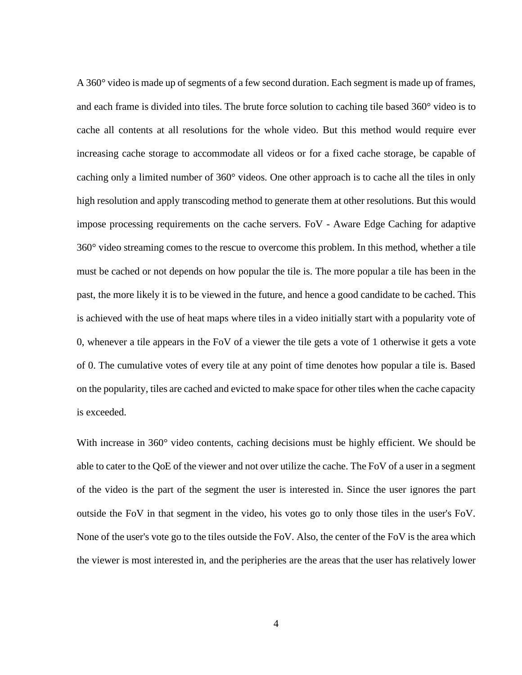A 360° video is made up of segments of a few second duration. Each segment is made up of frames, and each frame is divided into tiles. The brute force solution to caching tile based 360° video is to cache all contents at all resolutions for the whole video. But this method would require ever increasing cache storage to accommodate all videos or for a fixed cache storage, be capable of caching only a limited number of 360° videos. One other approach is to cache all the tiles in only high resolution and apply transcoding method to generate them at other resolutions. But this would impose processing requirements on the cache servers. FoV - Aware Edge Caching for adaptive 360° video streaming comes to the rescue to overcome this problem. In this method, whether a tile must be cached or not depends on how popular the tile is. The more popular a tile has been in the past, the more likely it is to be viewed in the future, and hence a good candidate to be cached. This is achieved with the use of heat maps where tiles in a video initially start with a popularity vote of 0, whenever a tile appears in the FoV of a viewer the tile gets a vote of 1 otherwise it gets a vote of 0. The cumulative votes of every tile at any point of time denotes how popular a tile is. Based on the popularity, tiles are cached and evicted to make space for other tiles when the cache capacity is exceeded.

With increase in 360° video contents, caching decisions must be highly efficient. We should be able to cater to the QoE of the viewer and not over utilize the cache. The FoV of a user in a segment of the video is the part of the segment the user is interested in. Since the user ignores the part outside the FoV in that segment in the video, his votes go to only those tiles in the user's FoV. None of the user's vote go to the tiles outside the FoV. Also, the center of the FoV is the area which the viewer is most interested in, and the peripheries are the areas that the user has relatively lower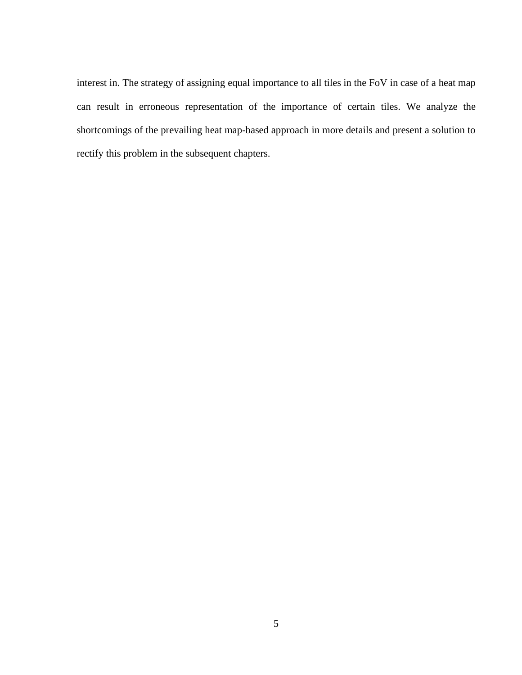interest in. The strategy of assigning equal importance to all tiles in the FoV in case of a heat map can result in erroneous representation of the importance of certain tiles. We analyze the shortcomings of the prevailing heat map-based approach in more details and present a solution to rectify this problem in the subsequent chapters.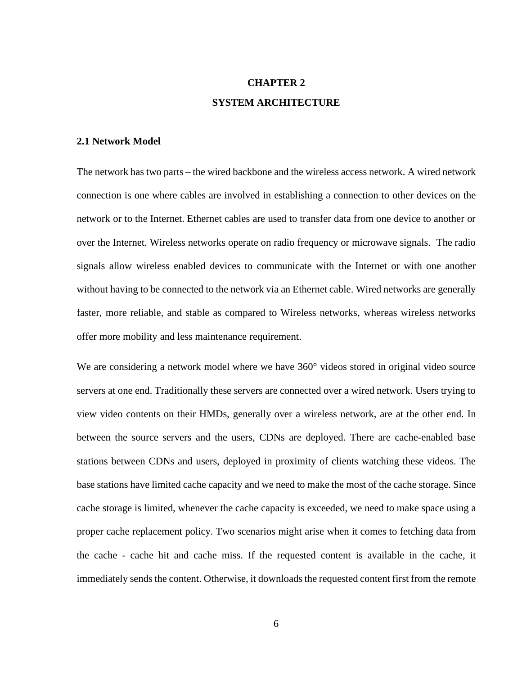## **CHAPTER 2 SYSTEM ARCHITECTURE**

#### **2.1 Network Model**

The network has two parts – the wired backbone and the wireless access network. A wired network connection is one where cables are involved in establishing a connection to other devices on the network or to the Internet. Ethernet cables are used to transfer data from one device to another or over the Internet. Wireless networks operate on radio frequency or microwave signals. The radio signals allow wireless enabled devices to communicate with the Internet or with one another without having to be connected to the network via an Ethernet cable. Wired networks are generally faster, more reliable, and stable as compared to Wireless networks, whereas wireless networks offer more mobility and less maintenance requirement.

We are considering a network model where we have 360° videos stored in original video source servers at one end. Traditionally these servers are connected over a wired network. Users trying to view video contents on their HMDs, generally over a wireless network, are at the other end. In between the source servers and the users, CDNs are deployed. There are cache-enabled base stations between CDNs and users, deployed in proximity of clients watching these videos. The base stations have limited cache capacity and we need to make the most of the cache storage. Since cache storage is limited, whenever the cache capacity is exceeded, we need to make space using a proper cache replacement policy. Two scenarios might arise when it comes to fetching data from the cache - cache hit and cache miss. If the requested content is available in the cache, it immediately sends the content. Otherwise, it downloads the requested content first from the remote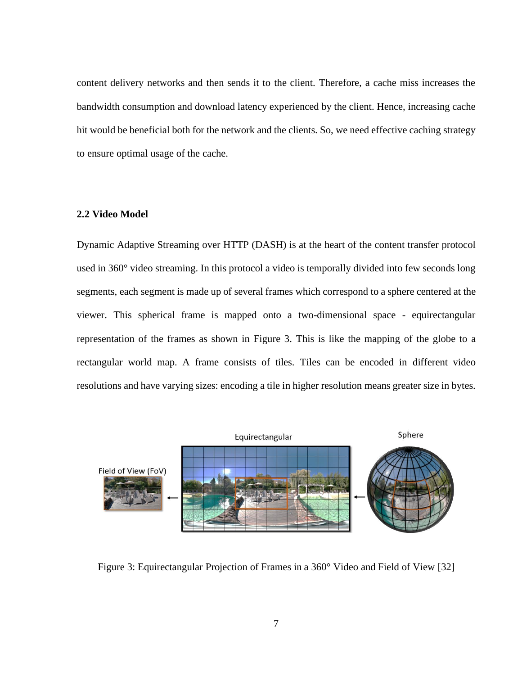content delivery networks and then sends it to the client. Therefore, a cache miss increases the bandwidth consumption and download latency experienced by the client. Hence, increasing cache hit would be beneficial both for the network and the clients. So, we need effective caching strategy to ensure optimal usage of the cache.

#### **2.2 Video Model**

Dynamic Adaptive Streaming over HTTP (DASH) is at the heart of the content transfer protocol used in 360° video streaming. In this protocol a video is temporally divided into few seconds long segments, each segment is made up of several frames which correspond to a sphere centered at the viewer. This spherical frame is mapped onto a two-dimensional space - equirectangular representation of the frames as shown in Figure 3. This is like the mapping of the globe to a rectangular world map. A frame consists of tiles. Tiles can be encoded in different video resolutions and have varying sizes: encoding a tile in higher resolution means greater size in bytes.



Figure 3: Equirectangular Projection of Frames in a 360° Video and Field of View [32]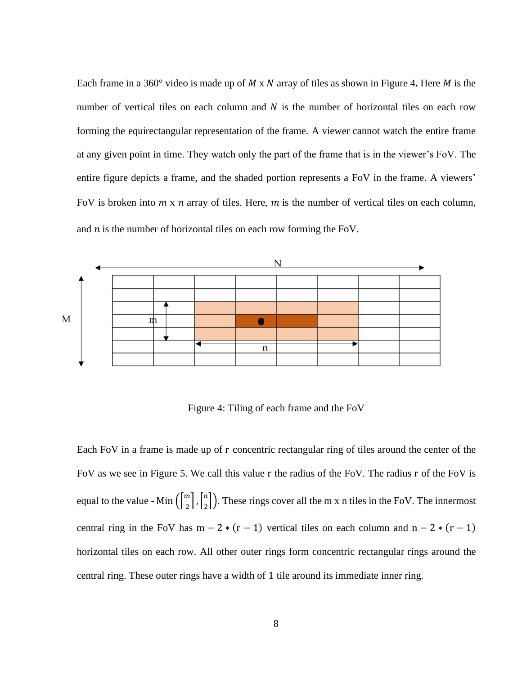Each frame in a 360 $^{\circ}$  video is made up of M x N array of tiles as shown in Figure 4. Here M is the number of vertical tiles on each column and  $N$  is the number of horizontal tiles on each row forming the equirectangular representation of the frame. A viewer cannot watch the entire frame at any given point in time. They watch only the part of the frame that is in the viewer's FoV. The entire figure depicts a frame, and the shaded portion represents a FoV in the frame. A viewers' FoV is broken into  $m \times n$  array of tiles. Here,  $m$  is the number of vertical tiles on each column, and  $n$  is the number of horizontal tiles on each row forming the FoV.



Figure 4: Tiling of each frame and the FoV

Each FoV in a frame is made up of r concentric rectangular ring of tiles around the center of the FoV as we see in Figure 5. We call this value r the radius of the FoV. The radius r of the FoV is equal to the value - Min  $\left(\frac{m}{2}\right)$  $\left[\frac{n}{2}\right], \left[\frac{n}{2}\right]$  $\frac{n}{2}$ ). These rings cover all the m x n tiles in the FoV. The innermost central ring in the FoV has m – 2  $*(r - 1)$  vertical tiles on each column and n – 2  $*(r - 1)$ horizontal tiles on each row. All other outer rings form concentric rectangular rings around the central ring. These outer rings have a width of 1 tile around its immediate inner ring.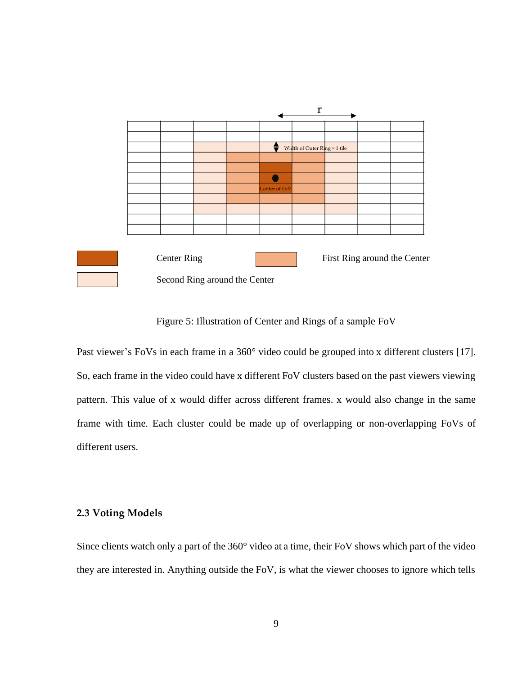

Figure 5: Illustration of Center and Rings of a sample FoV

Past viewer's FoVs in each frame in a 360° video could be grouped into x different clusters [17]. So, each frame in the video could have x different FoV clusters based on the past viewers viewing pattern. This value of x would differ across different frames. x would also change in the same frame with time. Each cluster could be made up of overlapping or non-overlapping FoVs of different users.

### **2.3 Voting Models**

Since clients watch only a part of the 360° video at a time, their FoV shows which part of the video they are interested in. Anything outside the FoV, is what the viewer chooses to ignore which tells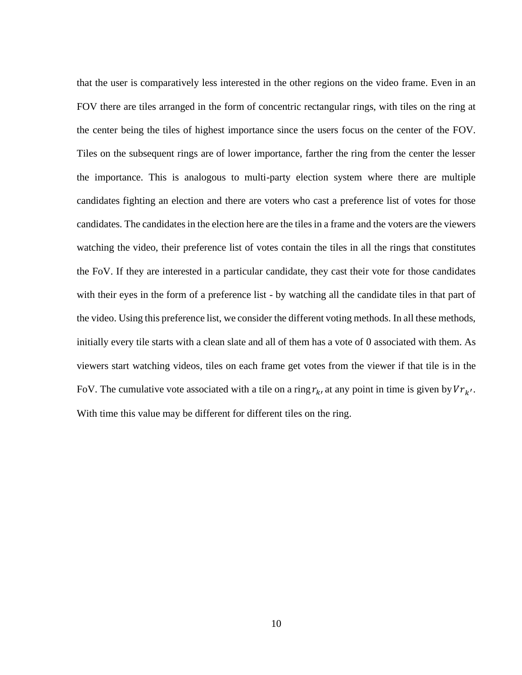that the user is comparatively less interested in the other regions on the video frame. Even in an FOV there are tiles arranged in the form of concentric rectangular rings, with tiles on the ring at the center being the tiles of highest importance since the users focus on the center of the FOV. Tiles on the subsequent rings are of lower importance, farther the ring from the center the lesser the importance. This is analogous to multi-party election system where there are multiple candidates fighting an election and there are voters who cast a preference list of votes for those candidates. The candidates in the election here are the tiles in a frame and the voters are the viewers watching the video, their preference list of votes contain the tiles in all the rings that constitutes the FoV. If they are interested in a particular candidate, they cast their vote for those candidates with their eyes in the form of a preference list - by watching all the candidate tiles in that part of the video. Using this preference list, we consider the different voting methods. In all these methods, initially every tile starts with a clean slate and all of them has a vote of 0 associated with them. As viewers start watching videos, tiles on each frame get votes from the viewer if that tile is in the FoV. The cumulative vote associated with a tile on a ring  $r_k$ , at any point in time is given by  $V r_{k'}$ . With time this value may be different for different tiles on the ring.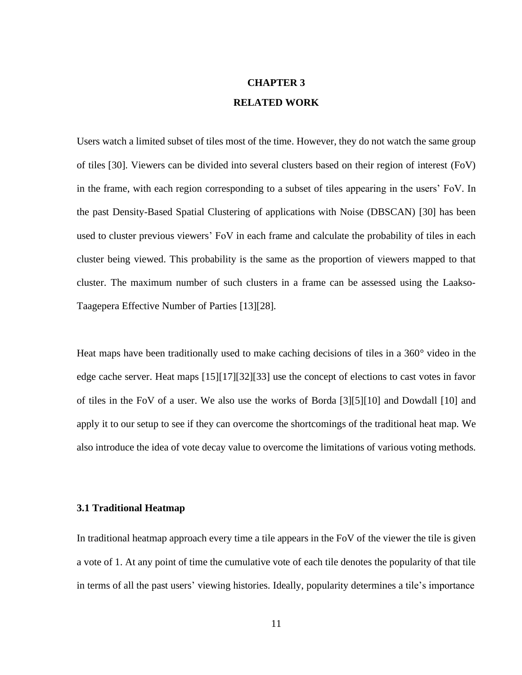## **CHAPTER 3 RELATED WORK**

Users watch a limited subset of tiles most of the time. However, they do not watch the same group of tiles [30]. Viewers can be divided into several clusters based on their region of interest (FoV) in the frame, with each region corresponding to a subset of tiles appearing in the users' FoV. In the past Density-Based Spatial Clustering of applications with Noise (DBSCAN) [30] has been used to cluster previous viewers' FoV in each frame and calculate the probability of tiles in each cluster being viewed. This probability is the same as the proportion of viewers mapped to that cluster. The maximum number of such clusters in a frame can be assessed using the Laakso-Taagepera Effective Number of Parties [13][28].

Heat maps have been traditionally used to make caching decisions of tiles in a 360° video in the edge cache server. Heat maps [15][17][32][33] use the concept of elections to cast votes in favor of tiles in the FoV of a user. We also use the works of Borda [3][5][10] and Dowdall [10] and apply it to our setup to see if they can overcome the shortcomings of the traditional heat map. We also introduce the idea of vote decay value to overcome the limitations of various voting methods.

#### **3.1 Traditional Heatmap**

In traditional heatmap approach every time a tile appears in the FoV of the viewer the tile is given a vote of 1. At any point of time the cumulative vote of each tile denotes the popularity of that tile in terms of all the past users' viewing histories. Ideally, popularity determines a tile's importance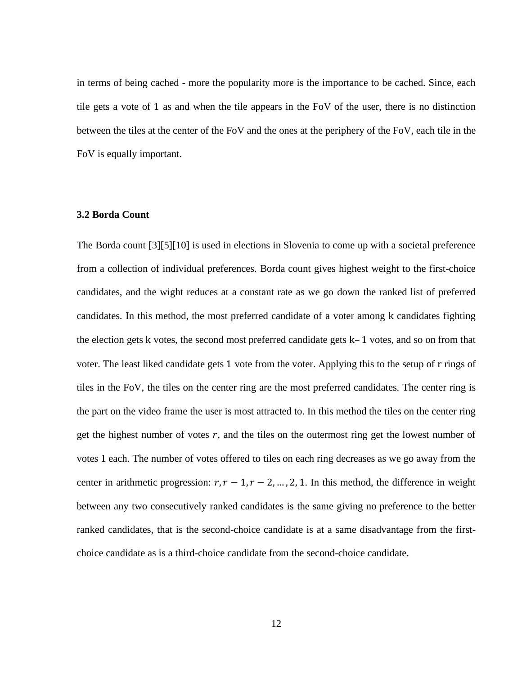in terms of being cached - more the popularity more is the importance to be cached. Since, each tile gets a vote of 1 as and when the tile appears in the FoV of the user, there is no distinction between the tiles at the center of the FoV and the ones at the periphery of the FoV, each tile in the FoV is equally important.

#### **3.2 Borda Count**

The Borda count [3][5][10] is used in elections in Slovenia to come up with a societal preference from a collection of individual preferences. Borda count gives highest weight to the first-choice candidates, and the wight reduces at a constant rate as we go down the ranked list of preferred candidates. In this method, the most preferred candidate of a voter among k candidates fighting the election gets k votes, the second most preferred candidate gets k– 1 votes, and so on from that voter. The least liked candidate gets 1 vote from the voter. Applying this to the setup of r rings of tiles in the FoV, the tiles on the center ring are the most preferred candidates. The center ring is the part on the video frame the user is most attracted to. In this method the tiles on the center ring get the highest number of votes  $r$ , and the tiles on the outermost ring get the lowest number of votes 1 each. The number of votes offered to tiles on each ring decreases as we go away from the center in arithmetic progression:  $r, r - 1, r - 2, ..., 2, 1$ . In this method, the difference in weight between any two consecutively ranked candidates is the same giving no preference to the better ranked candidates, that is the second-choice candidate is at a same disadvantage from the firstchoice candidate as is a third-choice candidate from the second-choice candidate.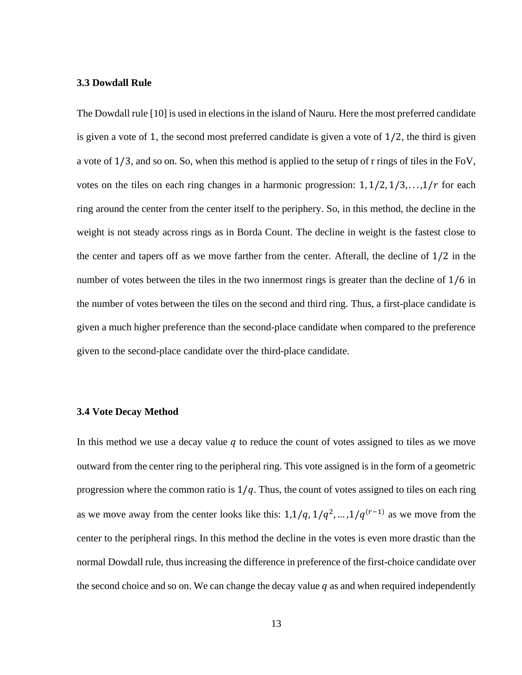#### **3.3 Dowdall Rule**

The Dowdall rule [10] is used in elections in the island of Nauru. Here the most preferred candidate is given a vote of 1, the second most preferred candidate is given a vote of  $1/2$ , the third is given a vote of 1/3, and so on. So, when this method is applied to the setup of r rings of tiles in the FoV, votes on the tiles on each ring changes in a harmonic progression:  $1, 1/2, 1/3, \ldots, 1/r$  for each ring around the center from the center itself to the periphery. So, in this method, the decline in the weight is not steady across rings as in Borda Count. The decline in weight is the fastest close to the center and tapers off as we move farther from the center. Afterall, the decline of 1/2 in the number of votes between the tiles in the two innermost rings is greater than the decline of 1/6 in the number of votes between the tiles on the second and third ring. Thus, a first-place candidate is given a much higher preference than the second-place candidate when compared to the preference given to the second-place candidate over the third-place candidate.

#### **3.4 Vote Decay Method**

In this method we use a decay value  $q$  to reduce the count of votes assigned to tiles as we move outward from the center ring to the peripheral ring. This vote assigned is in the form of a geometric progression where the common ratio is  $1/q$ . Thus, the count of votes assigned to tiles on each ring as we move away from the center looks like this:  $1,1/q, 1/q^2, \ldots, 1/q^{(r-1)}$  as we move from the center to the peripheral rings. In this method the decline in the votes is even more drastic than the normal Dowdall rule, thus increasing the difference in preference of the first-choice candidate over the second choice and so on. We can change the decay value  $q$  as and when required independently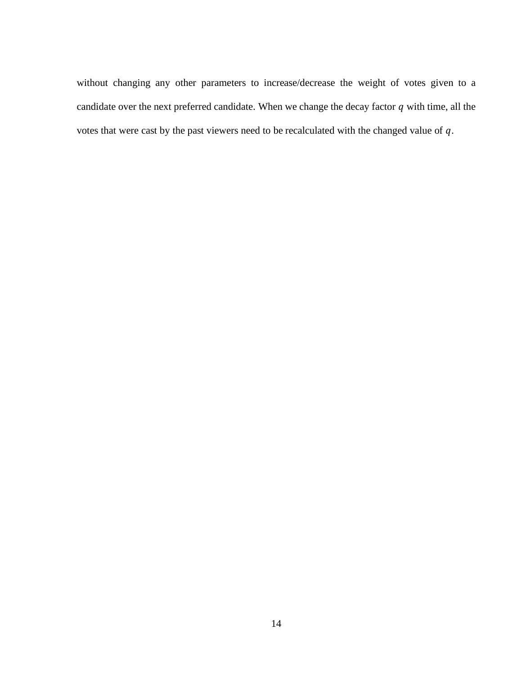without changing any other parameters to increase/decrease the weight of votes given to a candidate over the next preferred candidate. When we change the decay factor  $q$  with time, all the votes that were cast by the past viewers need to be recalculated with the changed value of  $q$ .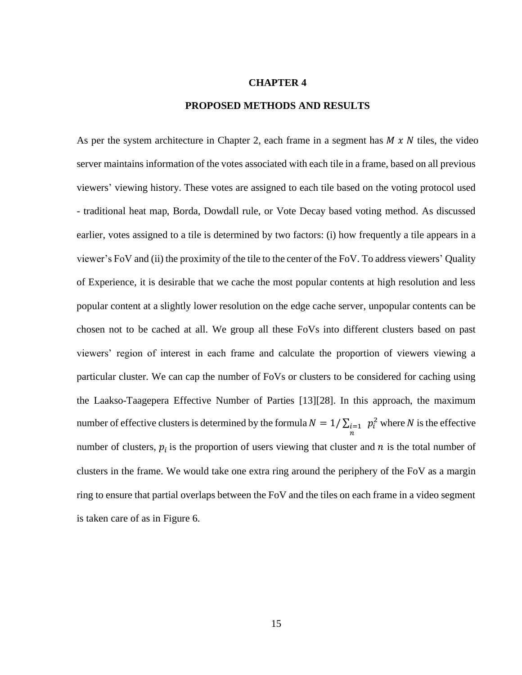#### **CHAPTER 4**

#### **PROPOSED METHODS AND RESULTS**

number of effective clusters is determined by the formula  $N = 1/\sum_{i=1}^n p_i^2$  where N is the effective As per the system architecture in Chapter 2, each frame in a segment has  $M \times N$  tiles, the video server maintains information of the votes associated with each tile in a frame, based on all previous viewers' viewing history. These votes are assigned to each tile based on the voting protocol used - traditional heat map, Borda, Dowdall rule, or Vote Decay based voting method. As discussed earlier, votes assigned to a tile is determined by two factors: (i) how frequently a tile appears in a viewer's FoV and (ii) the proximity of the tile to the center of the FoV. To address viewers' Quality of Experience, it is desirable that we cache the most popular contents at high resolution and less popular content at a slightly lower resolution on the edge cache server, unpopular contents can be chosen not to be cached at all. We group all these FoVs into different clusters based on past viewers' region of interest in each frame and calculate the proportion of viewers viewing a particular cluster. We can cap the number of FoVs or clusters to be considered for caching using the Laakso-Taagepera Effective Number of Parties [13][28]. In this approach, the maximum number of clusters,  $p_i$  is the proportion of users viewing that cluster and  $n$  is the total number of clusters in the frame. We would take one extra ring around the periphery of the FoV as a margin ring to ensure that partial overlaps between the FoV and the tiles on each frame in a video segment is taken care of as in Figure 6.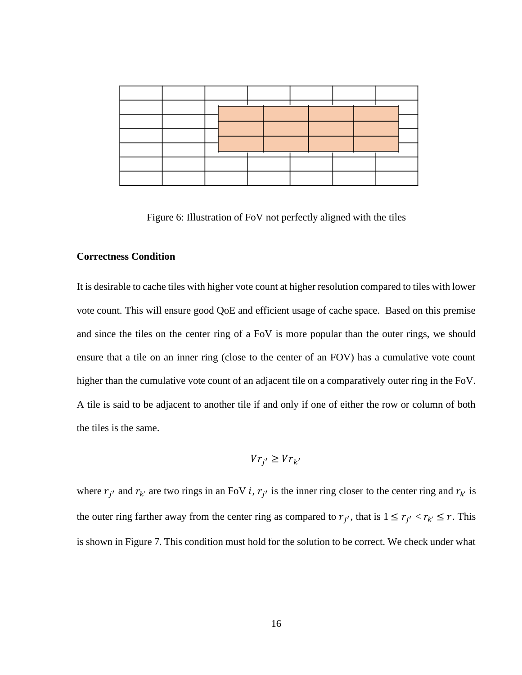|  |  | $\overline{\phantom{a}}$ |  |  |  |  |
|--|--|--------------------------|--|--|--|--|
|  |  |                          |  |  |  |  |
|  |  |                          |  |  |  |  |
|  |  |                          |  |  |  |  |
|  |  |                          |  |  |  |  |
|  |  |                          |  |  |  |  |

Figure 6: Illustration of FoV not perfectly aligned with the tiles

#### **Correctness Condition**

It is desirable to cache tiles with higher vote count at higher resolution compared to tiles with lower vote count. This will ensure good QoE and efficient usage of cache space. Based on this premise and since the tiles on the center ring of a FoV is more popular than the outer rings, we should ensure that a tile on an inner ring (close to the center of an FOV) has a cumulative vote count higher than the cumulative vote count of an adjacent tile on a comparatively outer ring in the FoV. A tile is said to be adjacent to another tile if and only if one of either the row or column of both the tiles is the same.

$$
V r_{j'} \ge V r_{k'}
$$

where  $r_{j'}$  and  $r_{k'}$  are two rings in an FoV *i*,  $r_{j'}$  is the inner ring closer to the center ring and  $r_{k'}$  is the outer ring farther away from the center ring as compared to  $r_{j'}$ , that is  $1 \le r_{j'} < r_{k'} \le r$ . This is shown in Figure 7. This condition must hold for the solution to be correct. We check under what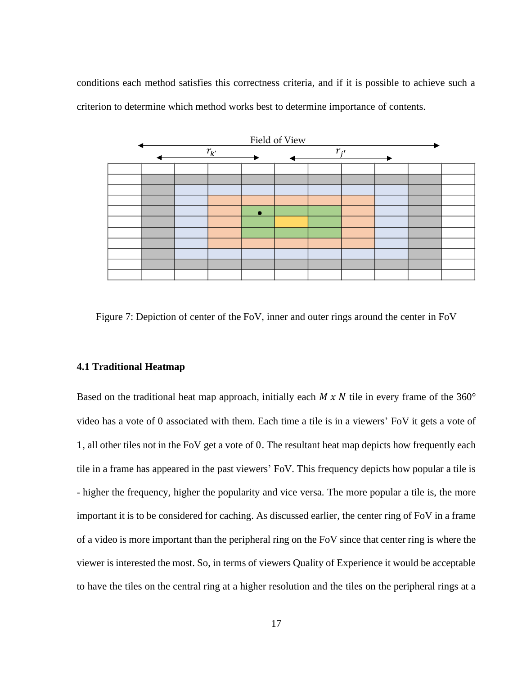conditions each method satisfies this correctness criteria, and if it is possible to achieve such a criterion to determine which method works best to determine importance of contents.



Figure 7: Depiction of center of the FoV, inner and outer rings around the center in FoV

#### **4.1 Traditional Heatmap**

Based on the traditional heat map approach, initially each  $M \times N$  tile in every frame of the 360° video has a vote of 0 associated with them. Each time a tile is in a viewers' FoV it gets a vote of 1, all other tiles not in the FoV get a vote of 0. The resultant heat map depicts how frequently each tile in a frame has appeared in the past viewers' FoV. This frequency depicts how popular a tile is - higher the frequency, higher the popularity and vice versa. The more popular a tile is, the more important it is to be considered for caching. As discussed earlier, the center ring of FoV in a frame of a video is more important than the peripheral ring on the FoV since that center ring is where the viewer is interested the most. So, in terms of viewers Quality of Experience it would be acceptable to have the tiles on the central ring at a higher resolution and the tiles on the peripheral rings at a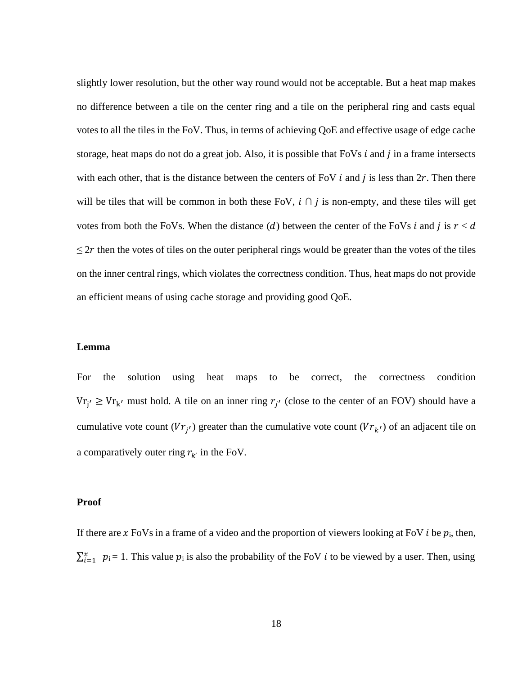slightly lower resolution, but the other way round would not be acceptable. But a heat map makes no difference between a tile on the center ring and a tile on the peripheral ring and casts equal votes to all the tiles in the FoV. Thus, in terms of achieving QoE and effective usage of edge cache storage, heat maps do not do a great job. Also, it is possible that  $FoVs i$  and  $j$  in a frame intersects with each other, that is the distance between the centers of FoV  $i$  and  $j$  is less than  $2r$ . Then there will be tiles that will be common in both these FoV,  $i \cap j$  is non-empty, and these tiles will get votes from both the FoVs. When the distance (d) between the center of the FoVs *i* and *j* is  $r < d$  $\leq$  2r then the votes of tiles on the outer peripheral rings would be greater than the votes of the tiles on the inner central rings, which violates the correctness condition. Thus, heat maps do not provide an efficient means of using cache storage and providing good QoE.

#### **Lemma**

For the solution using heat maps to be correct, the correctness condition  $V_{rj'} \geq V_{r_{k'}}$  must hold. A tile on an inner ring  $r_{j'}$  (close to the center of an FOV) should have a cumulative vote count  $(Vr_{j'})$  greater than the cumulative vote count  $(Vr_{k'})$  of an adjacent tile on a comparatively outer ring  $r_{k'}$  in the FoV.

#### **Proof**

If there are x FoVs in a frame of a video and the proportion of viewers looking at FoV *i* be  $p_i$ , then,  $\sum_{i=1}^{x} p_i = 1$ . This value  $p_i$  is also the probability of the FoV *i* to be viewed by a user. Then, using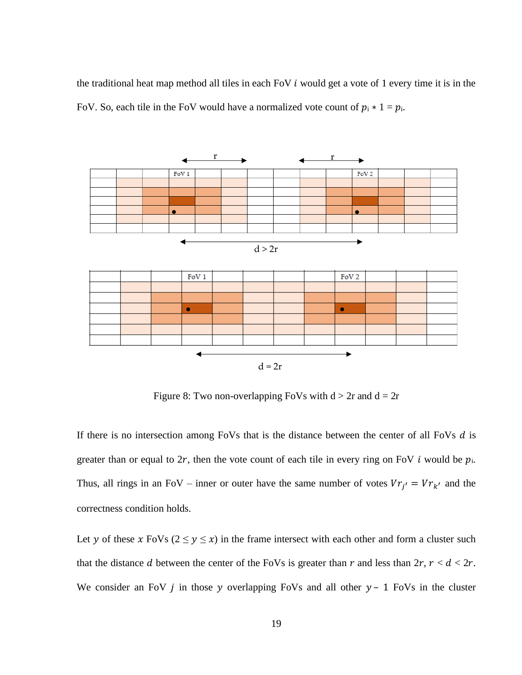the traditional heat map method all tiles in each FoV  $i$  would get a vote of 1 every time it is in the FoV. So, each tile in the FoV would have a normalized vote count of  $p_i * 1 = p_i$ .



Figure 8: Two non-overlapping FoVs with  $d > 2r$  and  $d = 2r$ 

If there is no intersection among FoVs that is the distance between the center of all FoVs  $d$  is greater than or equal to 2r, then the vote count of each tile in every ring on FoV i would be  $p_i$ . Thus, all rings in an FoV – inner or outer have the same number of votes  $V r_{j'} = V r_{k'}$  and the correctness condition holds.

Let y of these x FoVs ( $2 \le y \le x$ ) in the frame intersect with each other and form a cluster such that the distance d between the center of the FoVs is greater than  $r$  and less than  $2r$ ,  $r < d < 2r$ . We consider an FoV  $j$  in those  $y$  overlapping FoVs and all other  $y - 1$  FoVs in the cluster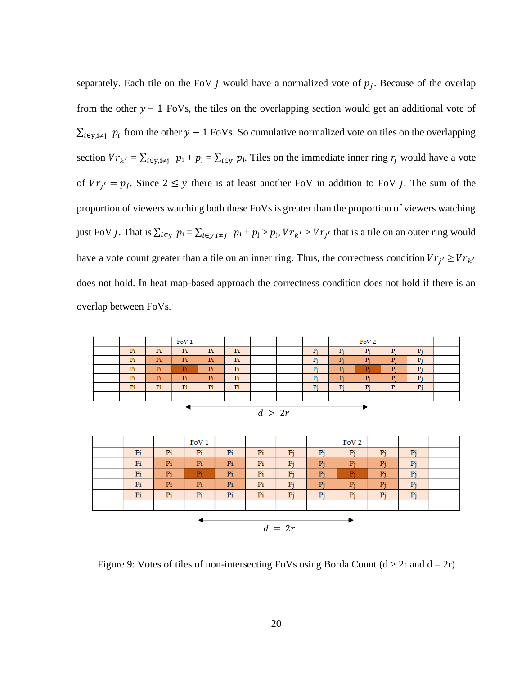separately. Each tile on the FoV  $j$  would have a normalized vote of  $p_j$ . Because of the overlap from the other  $y - 1$  FoVs, the tiles on the overlapping section would get an additional vote of  $\sum_{i \in y, i \neq j} p_i$  from the other  $y - 1$  FoVs. So cumulative normalized vote on tiles on the overlapping section  $V r_{k'} = \sum_{i \in y, i \neq j} p_i + p_j = \sum_{i \in y} p_i$ . Tiles on the immediate inner ring  $r_j$  would have a vote of  $V r_{j'} = p_j$ . Since  $2 \leq y$  there is at least another FoV in addition to FoV j. The sum of the proportion of viewers watching both these FoVs is greater than the proportion of viewers watching just FoV *j*. That is  $\sum_{i \in y} p_i = \sum_{i \in y, i \neq j} p_i + p_j > p_j$ ,  $V r_{k'} > V r_{j'}$  that is a tile on an outer ring would have a vote count greater than a tile on an inner ring. Thus, the correctness condition  $V r_{j'} \geq V r_{k'}$ does not hold. In heat map-based approach the correctness condition does not hold if there is an overlap between FoVs.

|    |    | FoV1 |    |    |             |  |    |    | FoV <sub>2</sub> |    |    |  |  |
|----|----|------|----|----|-------------|--|----|----|------------------|----|----|--|--|
| Pi | Pi | Pi   | Pi | Pi |             |  | Pi | Pi | Pi               | Pi | Pi |  |  |
| Pi | Pi | Pi   | Pi | Pi |             |  | Pi | Pi | Pi               | Pi | Pi |  |  |
| Pi | Pi | Pi   | Pi | Pi |             |  | Pi | Pi | D.               | Pi | Pi |  |  |
| Pi | Pi | Pi   | Pi | Pi |             |  | Pi | Pi | Pi               | Pi | Pi |  |  |
| Pi | Pi | Pi   | Pi | Pi |             |  | Pi | Pi | Pi               | Pi | Pi |  |  |
|    |    |      |    |    |             |  |    |    |                  |    |    |  |  |
|    |    |      |    |    |             |  |    |    |                  |    |    |  |  |
|    |    |      |    |    | $J \sim 2m$ |  |    |    |                  |    |    |  |  |

| а<br>ı |  |
|--------|--|
|--------|--|

|          |    |    | FoV <sub>1</sub> |    |    |    |    | FoV <sub>2</sub> |                |    |  |  |
|----------|----|----|------------------|----|----|----|----|------------------|----------------|----|--|--|
|          | Pi | Pi | Pi               | Pi | Pi | Pi | Pi | Pi               | Pi             | Pi |  |  |
|          | Pi | Pi | Pi               | Pi | Pi | Pi | Pi | Pi               | Pi             | Pi |  |  |
|          | Pi | Pi | Pi               | Pi | Pi | Pi | Pi | Pi               | P <sub>i</sub> | Pi |  |  |
|          | Pi | Pi | Pi               | Pi | Pi | Pi | Pi | Pi               | Pi             | Pi |  |  |
|          | Pi | Pi | Pi               | Pi | Pi | Pi | Pi | Pi               | Pi             | Pi |  |  |
|          |    |    |                  |    |    |    |    |                  |                |    |  |  |
| $d = 2r$ |    |    |                  |    |    |    |    |                  |                |    |  |  |

Figure 9: Votes of tiles of non-intersecting FoVs using Borda Count  $(d > 2r$  and  $d = 2r$ )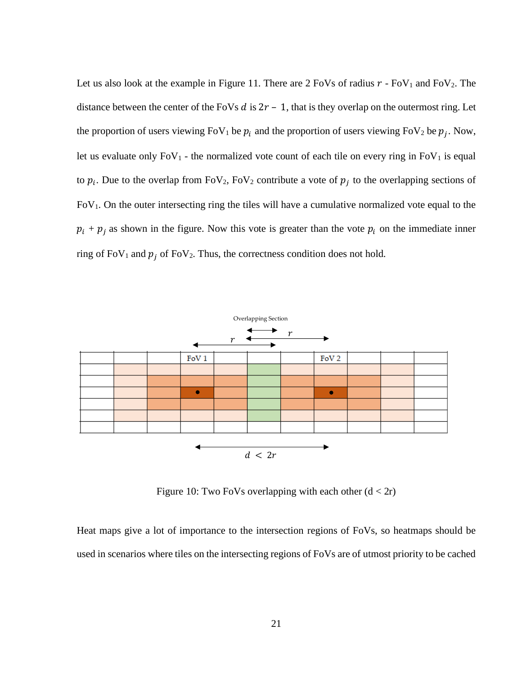Let us also look at the example in Figure 11. There are  $2 \text{ FoVs}$  of radius  $r - \text{ FoV}_1$  and  $\text{ FoV}_2$ . The distance between the center of the FoVs  $d$  is  $2r - 1$ , that is they overlap on the outermost ring. Let the proportion of users viewing FoV<sub>1</sub> be  $p_i$  and the proportion of users viewing FoV<sub>2</sub> be  $p_j$ . Now, let us evaluate only  $FoV_1$  - the normalized vote count of each tile on every ring in  $FoV_1$  is equal to  $p_i$ . Due to the overlap from FoV<sub>2</sub>, FoV<sub>2</sub> contribute a vote of  $p_j$  to the overlapping sections of  $FoV<sub>1</sub>$ . On the outer intersecting ring the tiles will have a cumulative normalized vote equal to the  $p_i + p_j$  as shown in the figure. Now this vote is greater than the vote  $p_i$  on the immediate inner ring of FoV<sub>1</sub> and  $p_i$  of FoV<sub>2</sub>. Thus, the correctness condition does not hold.



Figure 10: Two FoVs overlapping with each other  $(d < 2r)$ 

Heat maps give a lot of importance to the intersection regions of FoVs, so heatmaps should be used in scenarios where tiles on the intersecting regions of FoVs are of utmost priority to be cached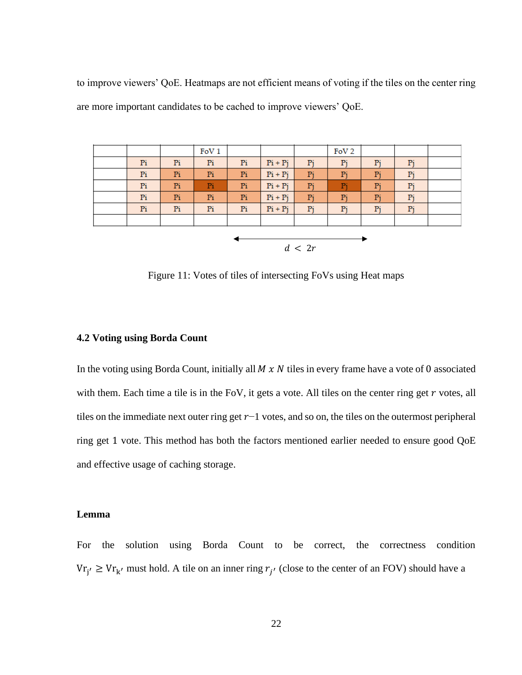to improve viewers' QoE. Heatmaps are not efficient means of voting if the tiles on the center ring are more important candidates to be cached to improve viewers' QoE.

|        |                |    | FoV <sub>1</sub> |    |           |    | FoV <sub>2</sub> |    |    |  |  |  |
|--------|----------------|----|------------------|----|-----------|----|------------------|----|----|--|--|--|
|        | P <sub>i</sub> | Pi | Pi               | Pi | $Pi + Pj$ | Pj | Pi               | Pj | Pi |  |  |  |
|        | Pi             | Pi | Pi               | Pi | $Pi + Pj$ | Pj | Pi               | Pj | Pi |  |  |  |
|        | P <sub>i</sub> | Pi | Pi               | Pi | $Pi + Pj$ | Pj | Pi               | Pj | Pi |  |  |  |
|        | P <sub>i</sub> | Pi | Pi               | Pi | $Pi + Pj$ | Pj | Pi               | Pj | Pi |  |  |  |
|        | Pi             | Pi | Pi               | Pi | $Pi + Pj$ | Pj | Pi               | Pj | Pi |  |  |  |
|        |                |    |                  |    |           |    |                  |    |    |  |  |  |
|        |                |    |                  |    |           |    |                  |    |    |  |  |  |
| d < 2r |                |    |                  |    |           |    |                  |    |    |  |  |  |
|        |                |    |                  |    |           |    |                  |    |    |  |  |  |

Figure 11: Votes of tiles of intersecting FoVs using Heat maps

#### **4.2 Voting using Borda Count**

In the voting using Borda Count, initially all  $M \times N$  tiles in every frame have a vote of 0 associated with them. Each time a tile is in the FoV, it gets a vote. All tiles on the center ring get  $r$  votes, all tiles on the immediate next outer ring get  $r-1$  votes, and so on, the tiles on the outermost peripheral ring get 1 vote. This method has both the factors mentioned earlier needed to ensure good QoE and effective usage of caching storage.

#### **Lemma**

For the solution using Borda Count to be correct, the correctness condition  $V_{f'_{j'}} \geq V_{r_{k'}}$  must hold. A tile on an inner ring  $r_{j'}$  (close to the center of an FOV) should have a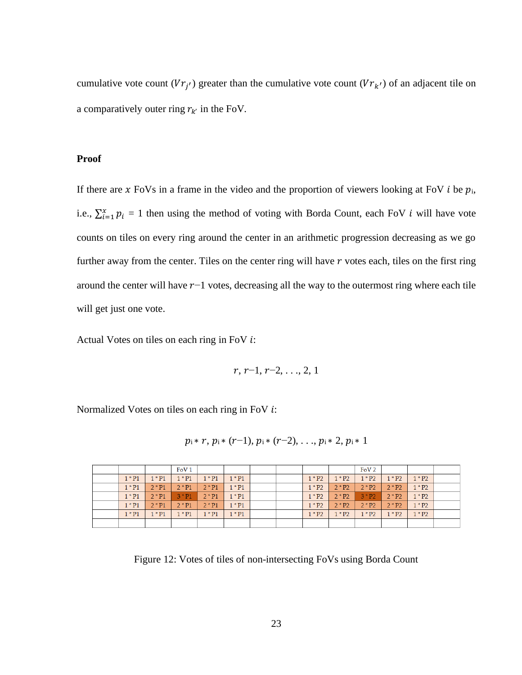cumulative vote count  $(Vr_{j'})$  greater than the cumulative vote count  $(Vr_{k'})$  of an adjacent tile on a comparatively outer ring  $r_{k'}$  in the FoV.

#### **Proof**

If there are x FoVs in a frame in the video and the proportion of viewers looking at FoV  $i$  be  $p_i$ , i.e.,  $\sum_{i=1}^{x} p_i = 1$  then using the method of voting with Borda Count, each FoV *i* will have vote counts on tiles on every ring around the center in an arithmetic progression decreasing as we go further away from the center. Tiles on the center ring will have  $r$  votes each, tiles on the first ring around the center will have  $r-1$  votes, decreasing all the way to the outermost ring where each tile will get just one vote.

Actual Votes on tiles on each ring in FoV  $i$ :

$$
r, r-1, r-2, \ldots, 2, 1
$$

Normalized Votes on tiles on each ring in FoV  $i$ :

$$
p_i * r, p_i * (r-1), p_i * (r-2), \ldots, p_i * 2, p_i * 1
$$

|          |          | FoV1     |          |                            |  |          |          | FoV <sub>2</sub> |          |          |  |
|----------|----------|----------|----------|----------------------------|--|----------|----------|------------------|----------|----------|--|
| $1 * P1$ | $1 * P1$ | $1 * P1$ | $1 * P1$ | $1 * P1$                   |  | $1 * P2$ | $1 * P2$ | $1 * P2$         | $1 * P2$ | $1 * P2$ |  |
| $1 * P1$ | $2 * P1$ | $2 * P1$ | $2 * P1$ | $1 * P1$                   |  | $1 * P2$ | $2 * P2$ | $2 * P2$         | $2 * P2$ | $1 * P2$ |  |
| $1 * P1$ | $2 * P1$ | $3 * P1$ | $2 * P1$ | $1 * P1$                   |  | $1 * P2$ | $2 * P2$ | $3 * P2$         | $2 * P2$ | $1 * P2$ |  |
| $1 * P1$ | $2 * P1$ | $2 * P1$ | $2 * P1$ | $\mathsf{I} * \mathsf{P}1$ |  | $1 * P2$ | $2 * P2$ | $2 * P2$         | $2 * P2$ | $1 * P2$ |  |
| $1 * P1$ | $1 * P1$ | $1 * P1$ | $1 * P1$ | $1 * P1$                   |  | $1 * P2$ | $1 * P2$ | $1 * P2$         | $1 * P2$ | $1 * P2$ |  |
|          |          |          |          |                            |  |          |          |                  |          |          |  |

Figure 12: Votes of tiles of non-intersecting FoVs using Borda Count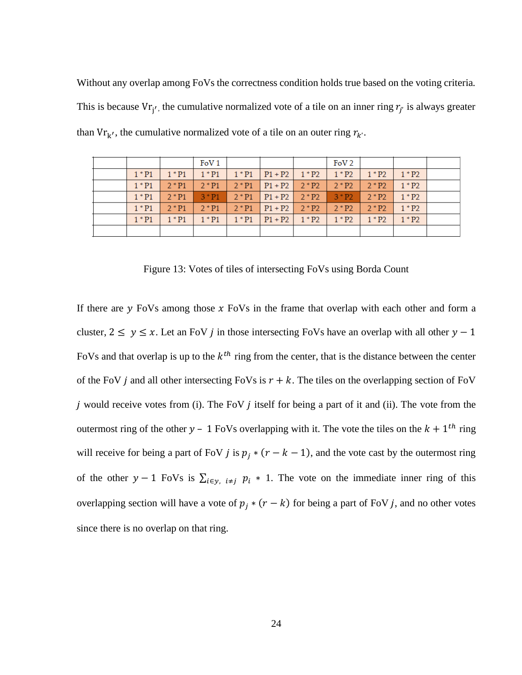Without any overlap among FoVs the correctness condition holds true based on the voting criteria. This is because  $V_{rj'}$ , the cumulative normalized vote of a tile on an inner ring  $r_{j'}$  is always greater than  $V r_{k'}$ , the cumulative normalized vote of a tile on an outer ring  $r_{k'}$ .

|  |          |          | FoV <sub>1</sub> |          |                                   |          | FoV <sub>2</sub> |          |          |  |
|--|----------|----------|------------------|----------|-----------------------------------|----------|------------------|----------|----------|--|
|  | $1 * P1$ | $1 * P1$ | $1 * P1$         | $1 * P1$ | $ P1 + P2 $ $1 * P2$ $1 * P2$ $ $ |          |                  | $1 * P2$ | $1 * P2$ |  |
|  | $1 * P1$ | $2 * P1$ | $2 * P1$         | $2 * P1$ | $P1 + P2$                         | $2 * P2$ | $2 * P2$         | $2 * P2$ | $1 * P2$ |  |
|  | $1 * P1$ | $2 * P1$ | $3 * P1$         | $2 * P1$ | $P1 + P2$   $2 * P2$              |          | $3 * P2$         | $2 * P2$ | $1 * P2$ |  |
|  | $1 * P1$ | $2 * P1$ | $2 * P1$         | $2 * P1$ | $P1 + P2$                         | $2 * P2$ | $2 * P2$         | $2 * P2$ | $1 * P2$ |  |
|  | $1 * P1$ | $1 * P1$ | $1 * P1$         | $1 * P1$ | $P1 + P2$                         | $1 * P2$ | $1 * P2$         | $1 * P2$ | $1 * P2$ |  |
|  |          |          |                  |          |                                   |          |                  |          |          |  |

Figure 13: Votes of tiles of intersecting FoVs using Borda Count

If there are  $\gamma$  FoVs among those  $\chi$  FoVs in the frame that overlap with each other and form a cluster,  $2 \le y \le x$ . Let an FoV *j* in those intersecting FoVs have an overlap with all other  $y - 1$ FoVs and that overlap is up to the  $k^{th}$  ring from the center, that is the distance between the center of the FoV *j* and all other intersecting FoVs is  $r + k$ . The tiles on the overlapping section of FoV *j* would receive votes from (i). The FoV  $j$  itself for being a part of it and (ii). The vote from the outermost ring of the other  $y - 1$  FoVs overlapping with it. The vote the tiles on the  $k + 1$ <sup>th</sup> ring will receive for being a part of FoV *j* is  $p_j * (r - k - 1)$ , and the vote cast by the outermost ring of the other  $y - 1$  FoVs is  $\sum_{i \in y} i \neq j$   $p_i * 1$ . The vote on the immediate inner ring of this overlapping section will have a vote of  $p_i * (r - k)$  for being a part of FoV j, and no other votes since there is no overlap on that ring.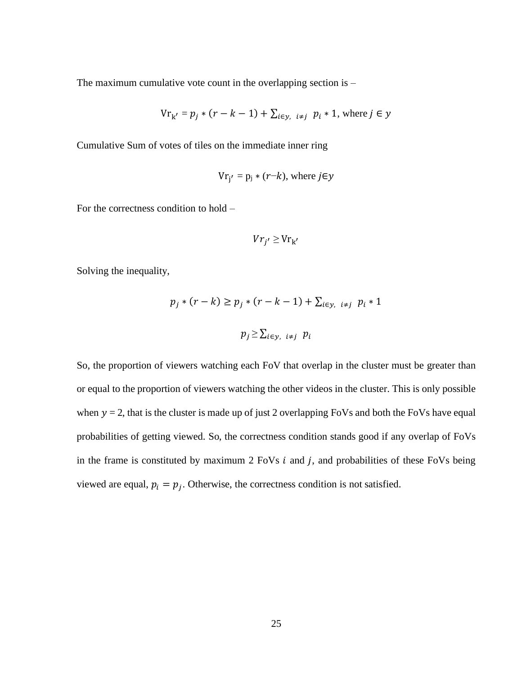The maximum cumulative vote count in the overlapping section is  $-$ 

$$
V_{r_{k'}} = p_j * (r - k - 1) + \sum_{i \in y, i \neq j} p_i * 1
$$
, where  $j \in y$ 

Cumulative Sum of votes of tiles on the immediate inner ring

$$
Vr_{j'} = p_j * (r-k)
$$
, where  $j \in y$ 

For the correctness condition to hold –

$$
V r_{j'} \geq V r_{k'}
$$

Solving the inequality,

$$
p_j * (r - k) \ge p_j * (r - k - 1) + \sum_{i \in y, i \ne j} p_i * 1
$$
  

$$
p_j \ge \sum_{i \in y, i \ne j} p_i
$$

So, the proportion of viewers watching each FoV that overlap in the cluster must be greater than or equal to the proportion of viewers watching the other videos in the cluster. This is only possible when  $y = 2$ , that is the cluster is made up of just 2 overlapping FoVs and both the FoVs have equal probabilities of getting viewed. So, the correctness condition stands good if any overlap of FoVs in the frame is constituted by maximum  $2$  FoVs  $i$  and  $j$ , and probabilities of these FoVs being viewed are equal,  $p_i = p_j$ . Otherwise, the correctness condition is not satisfied.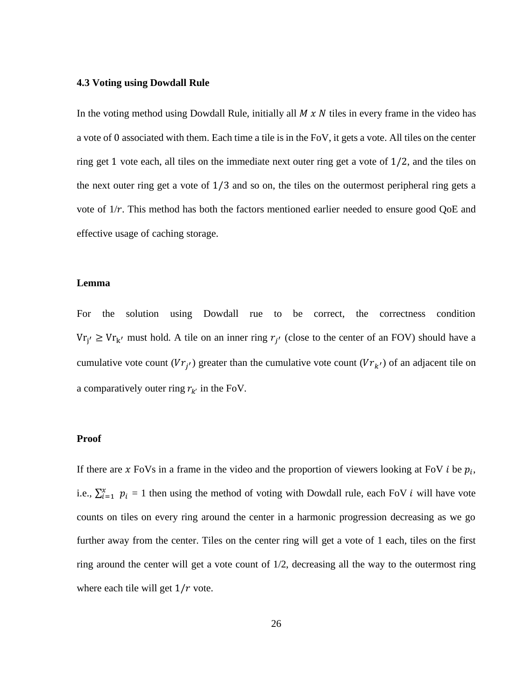#### **4.3 Voting using Dowdall Rule**

In the voting method using Dowdall Rule, initially all  $M \times N$  tiles in every frame in the video has a vote of 0 associated with them. Each time a tile is in the FoV, it gets a vote. All tiles on the center ring get 1 vote each, all tiles on the immediate next outer ring get a vote of 1/2, and the tiles on the next outer ring get a vote of 1/3 and so on, the tiles on the outermost peripheral ring gets a vote of  $1/r$ . This method has both the factors mentioned earlier needed to ensure good QoE and effective usage of caching storage.

#### **Lemma**

For the solution using Dowdall rue to be correct, the correctness condition  $V_{rj'} \geq V_{r_{k'}}$  must hold. A tile on an inner ring  $r_{j'}$  (close to the center of an FOV) should have a cumulative vote count  $(Vr_{j'})$  greater than the cumulative vote count  $(Vr_{k'})$  of an adjacent tile on a comparatively outer ring  $r_{k'}$  in the FoV.

#### **Proof**

If there are x FoVs in a frame in the video and the proportion of viewers looking at FoV  $i$  be  $p_i$ , i.e.,  $\sum_{i=1}^{x} p_i = 1$  then using the method of voting with Dowdall rule, each FoV *i* will have vote counts on tiles on every ring around the center in a harmonic progression decreasing as we go further away from the center. Tiles on the center ring will get a vote of 1 each, tiles on the first ring around the center will get a vote count of 1/2, decreasing all the way to the outermost ring where each tile will get  $1/r$  vote.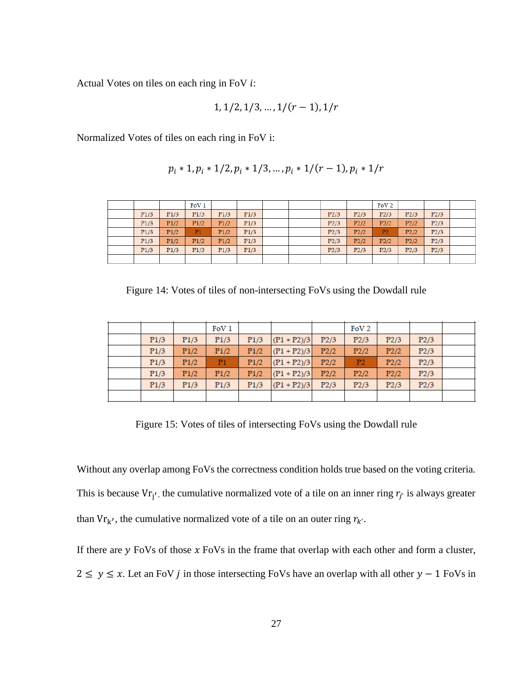Actual Votes on tiles on each ring in FoV  $i$ :

$$
1, 1/2, 1/3, \ldots, 1/(r-1), 1/r
$$

Normalized Votes of tiles on each ring in FoV i:

$$
p_i * 1, p_i * 1/2, p_i * 1/3, ..., p_i * 1/(r-1), p_i * 1/r
$$

|      |      | FoV1 |      |      |  |      |      | FoV <sub>2</sub> |      |      |  |
|------|------|------|------|------|--|------|------|------------------|------|------|--|
| P1/3 | P1/3 | P1/3 | P1/3 | P1/3 |  | P2/3 | P2/3 | P2/3             | P2/3 | P2/3 |  |
| P1/3 | P1/2 | P1/2 | P1/2 | P1/3 |  | P2/3 | P2/2 | P2/2             | P2/2 | P2/3 |  |
| P1/3 | P1/2 | P1   | P1/2 | P1/3 |  | P2/3 | P2/2 | P <sub>2</sub>   | P2/2 | P2/3 |  |
| P1/3 | P1/2 | P1/2 | P1/2 | P1/3 |  | P2/3 | P2/2 | P2/2             | P2/2 | P2/3 |  |
| P1/3 | P1/3 | P1/3 | P1/3 | P1/3 |  | P2/3 | P2/3 | P2/3             | P2/3 | P2/3 |  |
|      |      |      |      |      |  |      |      |                  |      |      |  |

Figure 14: Votes of tiles of non-intersecting FoVs using the Dowdall rule

|      |      | FoV1           |      |                   |      | FoV <sub>2</sub> |      |      |  |
|------|------|----------------|------|-------------------|------|------------------|------|------|--|
| P1/3 | P1/3 | P1/3           | P1/3 | $(P1 + P2)/3$     | P2/3 | P2/3             | P2/3 | P2/3 |  |
| P1/3 | P1/2 | P1/2           | P1/2 | $  (P1 + P2)/3  $ | P2/2 | P2/2             | P2/2 | P2/3 |  |
| P1/3 | P1/2 | P <sub>1</sub> | P1/2 | $  (P1 + P2)/3  $ | P2/2 | P2               | P2/2 | P2/3 |  |
| P1/3 | P1/2 | P1/2           | P1/2 | $  (P1 + P2)/3  $ | P2/2 | P2/2             | P2/2 | P2/3 |  |
| P1/3 | P1/3 | P1/3           | P1/3 | $(P1 + P2)/3$     | P2/3 | P2/3             | P2/3 | P2/3 |  |
|      |      |                |      |                   |      |                  |      |      |  |

Figure 15: Votes of tiles of intersecting FoVs using the Dowdall rule

Without any overlap among FoVs the correctness condition holds true based on the voting criteria. This is because  $V_{f_j'}$ , the cumulative normalized vote of a tile on an inner ring  $r_{j'}$  is always greater than  $V r_{k'}$ , the cumulative normalized vote of a tile on an outer ring  $r_{k'}$ .

If there are  $y$  FoVs of those  $x$  FoVs in the frame that overlap with each other and form a cluster,  $2 \le y \le x$ . Let an FoV *j* in those intersecting FoVs have an overlap with all other  $y - 1$  FoVs in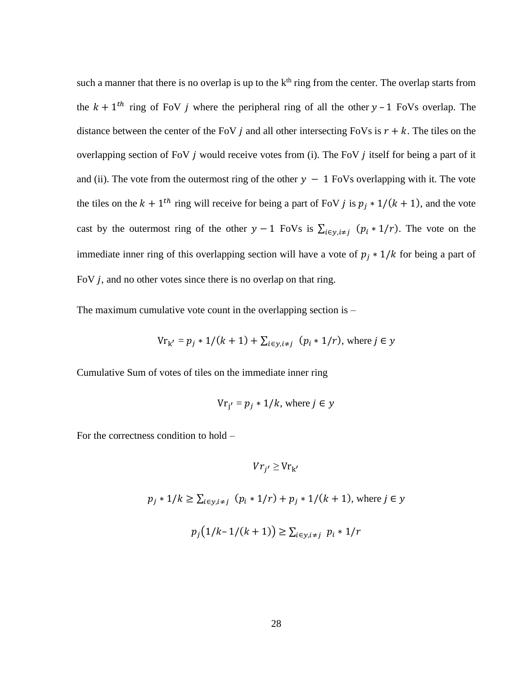such a manner that there is no overlap is up to the  $k<sup>th</sup>$  ring from the center. The overlap starts from the  $k + 1$ <sup>th</sup> ring of FoV *j* where the peripheral ring of all the other  $y - 1$  FoVs overlap. The distance between the center of the FoV *j* and all other intersecting FoVs is  $r + k$ . The tiles on the overlapping section of FoV  $j$  would receive votes from (i). The FoV  $j$  itself for being a part of it and (ii). The vote from the outermost ring of the other  $y - 1$  FoVs overlapping with it. The vote the tiles on the  $k + 1$ <sup>th</sup> ring will receive for being a part of FoV *j* is  $p_j * 1/(k + 1)$ , and the vote cast by the outermost ring of the other  $y - 1$  FoVs is  $\sum_{i \in y, i \neq j} (p_i * 1/r)$ . The vote on the immediate inner ring of this overlapping section will have a vote of  $p_i * 1/k$  for being a part of FoV  $j$ , and no other votes since there is no overlap on that ring.

The maximum cumulative vote count in the overlapping section is  $-$ 

$$
Vr_{k'} = p_j * 1/(k + 1) + \sum_{i \in y, i \neq j} (p_i * 1/r)
$$
, where  $j \in y$ 

Cumulative Sum of votes of tiles on the immediate inner ring

$$
Vr_{j'} = p_j * 1/k
$$
, where  $j \in y$ 

For the correctness condition to hold –

$$
V r_{j'} \geq V r_{k'}
$$
  

$$
p_j * 1/k \geq \sum_{i \in y, i \neq j} (p_i * 1/r) + p_j * 1/(k + 1), \text{ where } j \in y
$$
  

$$
p_j (1/k - 1/(k + 1)) \geq \sum_{i \in y, i \neq j} p_i * 1/r
$$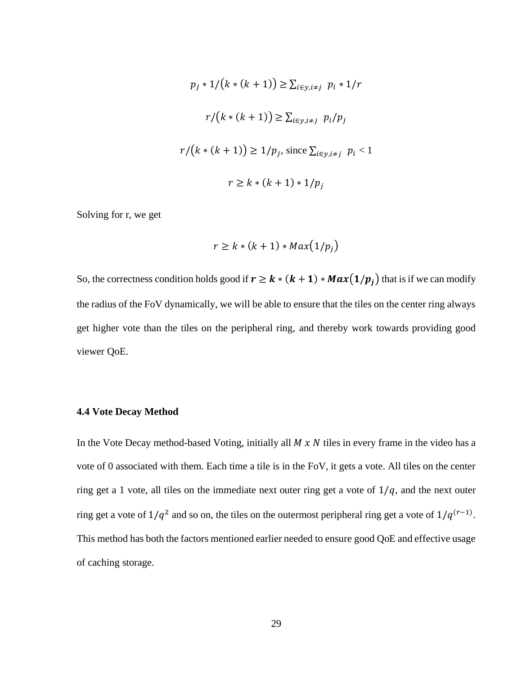$$
p_j * 1/(k * (k + 1)) \ge \sum_{i \in y, i \neq j} p_i * 1/r
$$

$$
r/(k * (k + 1)) \ge \sum_{i \in y, i \neq j} p_i/p_j
$$

$$
r/(k * (k + 1)) \ge 1/p_j, \text{ since } \sum_{i \in y, i \neq j} p_i < 1
$$

$$
r \ge k * (k + 1) * 1/p_j
$$

Solving for r, we get

$$
r \ge k * (k+1) * Max(1/p_j)
$$

So, the correctness condition holds good if  $r \ge k * (k + 1) * Max(1/p_j)$  that is if we can modify the radius of the FoV dynamically, we will be able to ensure that the tiles on the center ring always get higher vote than the tiles on the peripheral ring, and thereby work towards providing good viewer QoE.

#### **4.4 Vote Decay Method**

In the Vote Decay method-based Voting, initially all  $M \times N$  tiles in every frame in the video has a vote of 0 associated with them. Each time a tile is in the FoV, it gets a vote. All tiles on the center ring get a 1 vote, all tiles on the immediate next outer ring get a vote of  $1/q$ , and the next outer ring get a vote of  $1/q^2$  and so on, the tiles on the outermost peripheral ring get a vote of  $1/q^{(r-1)}$ . This method has both the factors mentioned earlier needed to ensure good QoE and effective usage of caching storage.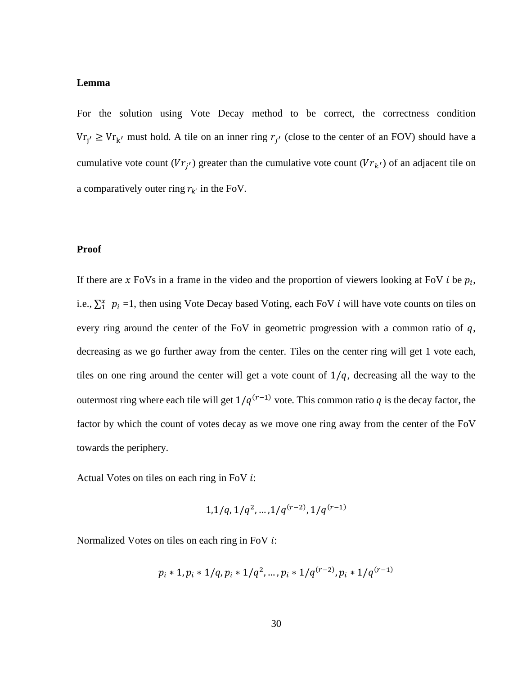#### **Lemma**

For the solution using Vote Decay method to be correct, the correctness condition  $V_{f'_{j'}} \geq V_{r_{k'}}$  must hold. A tile on an inner ring  $r_{j'}$  (close to the center of an FOV) should have a cumulative vote count  $(Vr_{j'})$  greater than the cumulative vote count  $(Vr_{k'})$  of an adjacent tile on a comparatively outer ring  $r_{k'}$  in the FoV.

#### **Proof**

If there are x FoVs in a frame in the video and the proportion of viewers looking at FoV  $i$  be  $p_i$ , i.e.,  $\sum_{i=1}^{x} p_i = 1$ , then using Vote Decay based Voting, each FoV *i* will have vote counts on tiles on every ring around the center of the FoV in geometric progression with a common ratio of  $q$ , decreasing as we go further away from the center. Tiles on the center ring will get 1 vote each, tiles on one ring around the center will get a vote count of  $1/q$ , decreasing all the way to the outermost ring where each tile will get  $1/q^{(r-1)}$  vote. This common ratio q is the decay factor, the factor by which the count of votes decay as we move one ring away from the center of the FoV towards the periphery.

Actual Votes on tiles on each ring in FoV  $i$ :

$$
1,1/q, 1/q^2, \ldots, 1/q^{(r-2)}, 1/q^{(r-1)}
$$

Normalized Votes on tiles on each ring in FoV  $i$ :

$$
p_i * 1, p_i * 1/q, p_i * 1/q^2, \ldots, p_i * 1/q^{(r-2)}, p_i * 1/q^{(r-1)}
$$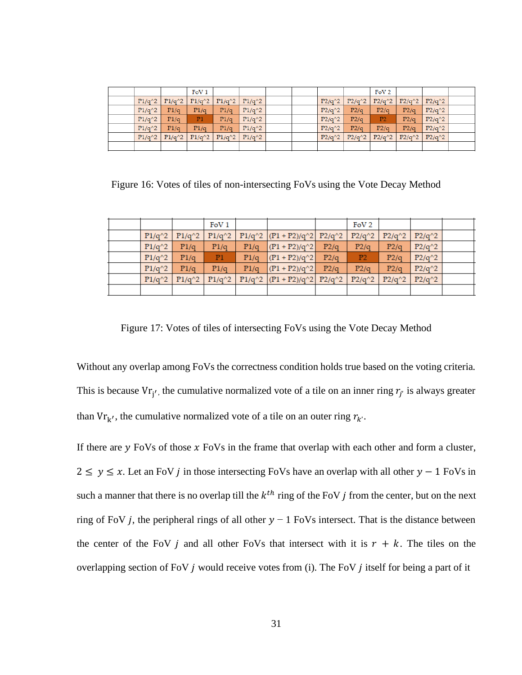|          |          | FoV <sub>1</sub> |                                |          |  |          |          | FoV <sub>2</sub> |          |          |  |
|----------|----------|------------------|--------------------------------|----------|--|----------|----------|------------------|----------|----------|--|
| $P1/q^2$ | $P1/q^2$ |                  | $P1/q^2$   $P1/q^2$   $P1/q^2$ |          |  | $P2/q^2$ | $P2/q^2$ | $P2/q^2$         | $P2/q^2$ | $P2/q^2$ |  |
| $P1/q^2$ | P1/q     | P1/q             | P1/q                           | $P1/q^2$ |  | $P2/q^2$ | P2/q     | P2/q             | P2/q     | $P2/q^2$ |  |
| $P1/q^2$ | P1/q     | P <sub>1</sub>   | P1/q                           | $P1/q^2$ |  | $P2/q^2$ | P2/q     | P <sub>2</sub>   | P2/q     | $P2/q^2$ |  |
| $P1/q^2$ | P1/q     | P1/q             | P1/q                           | $P1/q^2$ |  | $P2/q^2$ | P2/q     | P2/q             | P2/q     | $P2/q^2$ |  |
| $P1/q^2$ | $P1/q^2$ |                  | $P1/q^2$   $P1/q^2$   $P1/q^2$ |          |  | $P2/q^2$ | $P2/q^2$ | $P2/q^2$         | $P2/q^2$ | $P2/q^2$ |  |
|          |          |                  |                                |          |  |          |          |                  |          |          |  |

Figure 16: Votes of tiles of non-intersecting FoVs using the Vote Decay Method

|          |          | FoV1           |      |                                     |      | FoV <sub>2</sub> |          |          |  |
|----------|----------|----------------|------|-------------------------------------|------|------------------|----------|----------|--|
| $P1/q^2$ | $P1/q^2$ | $P1/q^2$       |      | P1/q^2 $ (P1+P2)/q^2 $ P2/q^2       |      | $P2/q^2$         | $P2/q^2$ | $P2/q^2$ |  |
| $P1/q^2$ | P1/q     | P1/q           | P1/q | $  (P1 + P2)/q^2  $                 | P2/q | P2/q             | P2/q     | $P2/q^2$ |  |
| $P1/q^2$ | P1/q     | P <sub>1</sub> | P1/q | $  (P1 + P2)/q^2  $                 | P2/q | P <sub>2</sub>   | P2/q     | $P2/q^2$ |  |
| $P1/q^2$ | P1/q     | P1/q           | P1/q | $  (P1 + P2)/q^2  $                 | P2/q | P2/q             | P2/q     | $P2/q^2$ |  |
| $P1/q^2$ | $P1/q^2$ | $P1/q^2$       |      | P1/q^2 $ (P1 + P2)/q^2 $ P2/q^2 $ $ |      | $P2/q^2$         | $P2/q^2$ | $P2/q^2$ |  |
|          |          |                |      |                                     |      |                  |          |          |  |

Figure 17: Votes of tiles of intersecting FoVs using the Vote Decay Method

Without any overlap among FoVs the correctness condition holds true based on the voting criteria. This is because  $V_{f_j'}$ , the cumulative normalized vote of a tile on an inner ring  $r_{j'}$  is always greater than  $V r_{k'}$ , the cumulative normalized vote of a tile on an outer ring  $r_{k'}$ .

If there are  $y$  FoVs of those  $x$  FoVs in the frame that overlap with each other and form a cluster,  $2 \le y \le x$ . Let an FoV *j* in those intersecting FoVs have an overlap with all other  $y - 1$  FoVs in such a manner that there is no overlap till the  $k^{th}$  ring of the FoV *j* from the center, but on the next ring of FoV *j*, the peripheral rings of all other  $y - 1$  FoVs intersect. That is the distance between the center of the FoV *j* and all other FoVs that intersect with it is  $r + k$ . The tiles on the overlapping section of FoV  $j$  would receive votes from (i). The FoV  $j$  itself for being a part of it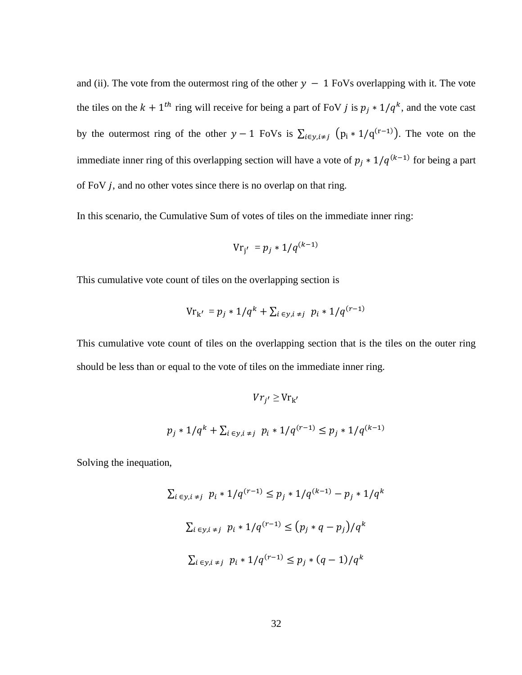and (ii). The vote from the outermost ring of the other  $y - 1$  FoVs overlapping with it. The vote the tiles on the  $k + 1$ <sup>th</sup> ring will receive for being a part of FoV *j* is  $p_j * 1/q^k$ , and the vote cast by the outermost ring of the other  $y - 1$  FoVs is  $\sum_{i \in y, i \neq j} (p_i * 1/q^{(r-1)})$ . The vote on the immediate inner ring of this overlapping section will have a vote of  $p_j * 1/q^{(k-1)}$  for being a part of FoV  $j$ , and no other votes since there is no overlap on that ring.

In this scenario, the Cumulative Sum of votes of tiles on the immediate inner ring:

$$
Vr_{j'} = p_j * 1/q^{(k-1)}
$$

This cumulative vote count of tiles on the overlapping section is

$$
\mathrm{Vr}_{\mathbf{k}'} = p_j \ast 1/q^k + \sum_{i \in y, i \neq j} p_i \ast 1/q^{(r-1)}
$$

This cumulative vote count of tiles on the overlapping section that is the tiles on the outer ring should be less than or equal to the vote of tiles on the immediate inner ring.

$$
V r_{j'} \geq V r_{k'}
$$
  

$$
p_j * 1/q^k + \sum_{i \in y, i \neq j} p_i * 1/q^{(r-1)} \leq p_j * 1/q^{(k-1)}
$$

Solving the inequation,

$$
\sum_{i \in y, i \neq j} p_i * 1/q^{(r-1)} \leq p_j * 1/q^{(k-1)} - p_j * 1/q^k
$$
  

$$
\sum_{i \in y, i \neq j} p_i * 1/q^{(r-1)} \leq (p_j * q - p_j)/q^k
$$
  

$$
\sum_{i \in y, i \neq j} p_i * 1/q^{(r-1)} \leq p_j * (q - 1)/q^k
$$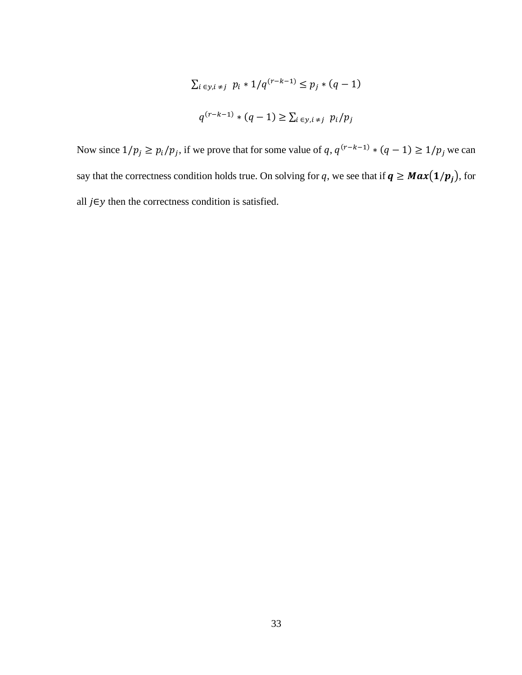$$
\sum_{i \in y, i \neq j} p_i * 1/q^{(r-k-1)} \le p_j * (q-1)
$$
  

$$
q^{(r-k-1)} * (q-1) \ge \sum_{i \in y, i \neq j} p_i/p_j
$$

Now since  $1/p_j \ge p_i/p_j$ , if we prove that for some value of q,  $q^{(r-k-1)} * (q-1) \ge 1/p_j$  we can say that the correctness condition holds true. On solving for q, we see that if  $q \geq Max(1/p_j)$ , for all  $j \in y$  then the correctness condition is satisfied.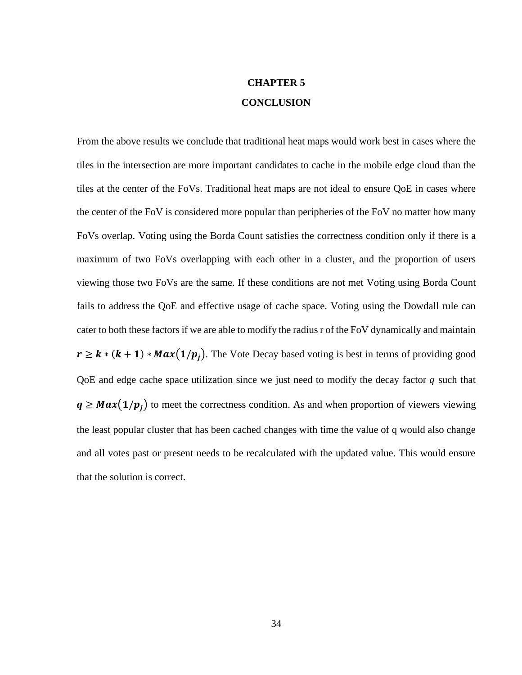## **CHAPTER 5 CONCLUSION**

From the above results we conclude that traditional heat maps would work best in cases where the tiles in the intersection are more important candidates to cache in the mobile edge cloud than the tiles at the center of the FoVs. Traditional heat maps are not ideal to ensure QoE in cases where the center of the FoV is considered more popular than peripheries of the FoV no matter how many FoVs overlap. Voting using the Borda Count satisfies the correctness condition only if there is a maximum of two FoVs overlapping with each other in a cluster, and the proportion of users viewing those two FoVs are the same. If these conditions are not met Voting using Borda Count fails to address the QoE and effective usage of cache space. Voting using the Dowdall rule can cater to both these factors if we are able to modify the radiusr of the FoV dynamically and maintain  $r \ge k * (k + 1) * Max(1/p_j)$ . The Vote Decay based voting is best in terms of providing good QoE and edge cache space utilization since we just need to modify the decay factor  $q$  such that  $q \geq Max(1/p_i)$  to meet the correctness condition. As and when proportion of viewers viewing the least popular cluster that has been cached changes with time the value of q would also change and all votes past or present needs to be recalculated with the updated value. This would ensure that the solution is correct.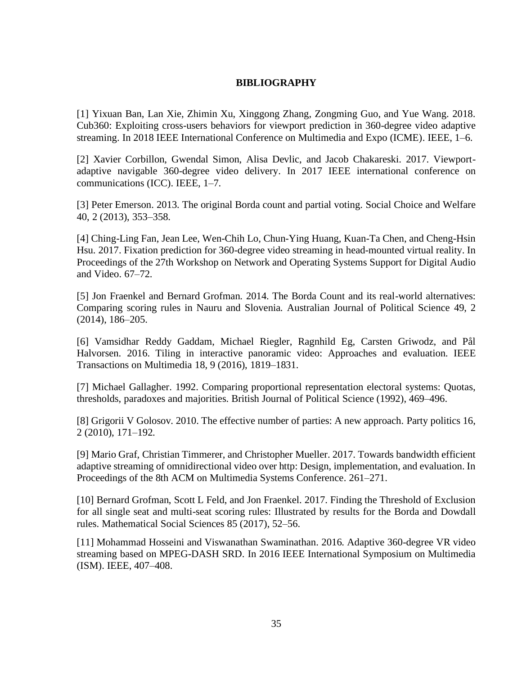#### **BIBLIOGRAPHY**

[1] Yixuan Ban, Lan Xie, Zhimin Xu, Xinggong Zhang, Zongming Guo, and Yue Wang. 2018. Cub360: Exploiting cross-users behaviors for viewport prediction in 360-degree video adaptive streaming. In 2018 IEEE International Conference on Multimedia and Expo (ICME). IEEE, 1–6.

[2] Xavier Corbillon, Gwendal Simon, Alisa Devlic, and Jacob Chakareski. 2017. Viewportadaptive navigable 360-degree video delivery. In 2017 IEEE international conference on communications (ICC). IEEE, 1–7.

[3] Peter Emerson. 2013. The original Borda count and partial voting. Social Choice and Welfare 40, 2 (2013), 353–358.

[4] Ching-Ling Fan, Jean Lee, Wen-Chih Lo, Chun-Ying Huang, Kuan-Ta Chen, and Cheng-Hsin Hsu. 2017. Fixation prediction for 360-degree video streaming in head-mounted virtual reality. In Proceedings of the 27th Workshop on Network and Operating Systems Support for Digital Audio and Video. 67–72.

[5] Jon Fraenkel and Bernard Grofman. 2014. The Borda Count and its real-world alternatives: Comparing scoring rules in Nauru and Slovenia. Australian Journal of Political Science 49, 2 (2014), 186–205.

[6] Vamsidhar Reddy Gaddam, Michael Riegler, Ragnhild Eg, Carsten Griwodz, and Pål Halvorsen. 2016. Tiling in interactive panoramic video: Approaches and evaluation. IEEE Transactions on Multimedia 18, 9 (2016), 1819–1831.

[7] Michael Gallagher. 1992. Comparing proportional representation electoral systems: Quotas, thresholds, paradoxes and majorities. British Journal of Political Science (1992), 469–496.

[8] Grigorii V Golosov. 2010. The effective number of parties: A new approach. Party politics 16, 2 (2010), 171–192.

[9] Mario Graf, Christian Timmerer, and Christopher Mueller. 2017. Towards bandwidth efficient adaptive streaming of omnidirectional video over http: Design, implementation, and evaluation. In Proceedings of the 8th ACM on Multimedia Systems Conference. 261–271.

[10] Bernard Grofman, Scott L Feld, and Jon Fraenkel. 2017. Finding the Threshold of Exclusion for all single seat and multi-seat scoring rules: Illustrated by results for the Borda and Dowdall rules. Mathematical Social Sciences 85 (2017), 52–56.

[11] Mohammad Hosseini and Viswanathan Swaminathan. 2016. Adaptive 360-degree VR video streaming based on MPEG-DASH SRD. In 2016 IEEE International Symposium on Multimedia (ISM). IEEE, 407–408.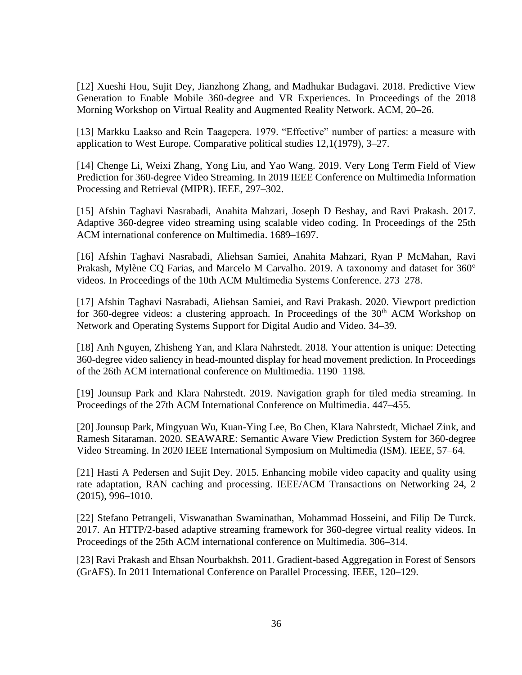[12] Xueshi Hou, Sujit Dey, Jianzhong Zhang, and Madhukar Budagavi. 2018. Predictive View Generation to Enable Mobile 360-degree and VR Experiences. In Proceedings of the 2018 Morning Workshop on Virtual Reality and Augmented Reality Network. ACM, 20–26.

[13] Markku Laakso and Rein Taagepera. 1979. "Effective" number of parties: a measure with application to West Europe. Comparative political studies 12,1(1979), 3–27.

[14] Chenge Li, Weixi Zhang, Yong Liu, and Yao Wang. 2019. Very Long Term Field of View Prediction for 360-degree Video Streaming. In 2019 IEEE Conference on Multimedia Information Processing and Retrieval (MIPR). IEEE, 297–302.

[15] Afshin Taghavi Nasrabadi, Anahita Mahzari, Joseph D Beshay, and Ravi Prakash. 2017. Adaptive 360-degree video streaming using scalable video coding. In Proceedings of the 25th ACM international conference on Multimedia. 1689–1697.

[16] Afshin Taghavi Nasrabadi, Aliehsan Samiei, Anahita Mahzari, Ryan P McMahan, Ravi Prakash, Mylène CQ Farias, and Marcelo M Carvalho. 2019. A taxonomy and dataset for 360° videos. In Proceedings of the 10th ACM Multimedia Systems Conference. 273–278.

[17] Afshin Taghavi Nasrabadi, Aliehsan Samiei, and Ravi Prakash. 2020. Viewport prediction for 360-degree videos: a clustering approach. In Proceedings of the  $30<sup>th</sup>$  ACM Workshop on Network and Operating Systems Support for Digital Audio and Video. 34–39.

[18] Anh Nguyen, Zhisheng Yan, and Klara Nahrstedt. 2018. Your attention is unique: Detecting 360-degree video saliency in head-mounted display for head movement prediction. In Proceedings of the 26th ACM international conference on Multimedia. 1190–1198.

[19] Jounsup Park and Klara Nahrstedt. 2019. Navigation graph for tiled media streaming. In Proceedings of the 27th ACM International Conference on Multimedia. 447–455.

[20] Jounsup Park, Mingyuan Wu, Kuan-Ying Lee, Bo Chen, Klara Nahrstedt, Michael Zink, and Ramesh Sitaraman. 2020. SEAWARE: Semantic Aware View Prediction System for 360-degree Video Streaming. In 2020 IEEE International Symposium on Multimedia (ISM). IEEE, 57–64.

[21] Hasti A Pedersen and Sujit Dey. 2015. Enhancing mobile video capacity and quality using rate adaptation, RAN caching and processing. IEEE/ACM Transactions on Networking 24, 2 (2015), 996–1010.

[22] Stefano Petrangeli, Viswanathan Swaminathan, Mohammad Hosseini, and Filip De Turck. 2017. An HTTP/2-based adaptive streaming framework for 360-degree virtual reality videos. In Proceedings of the 25th ACM international conference on Multimedia. 306–314.

[23] Ravi Prakash and Ehsan Nourbakhsh. 2011. Gradient-based Aggregation in Forest of Sensors (GrAFS). In 2011 International Conference on Parallel Processing. IEEE, 120–129.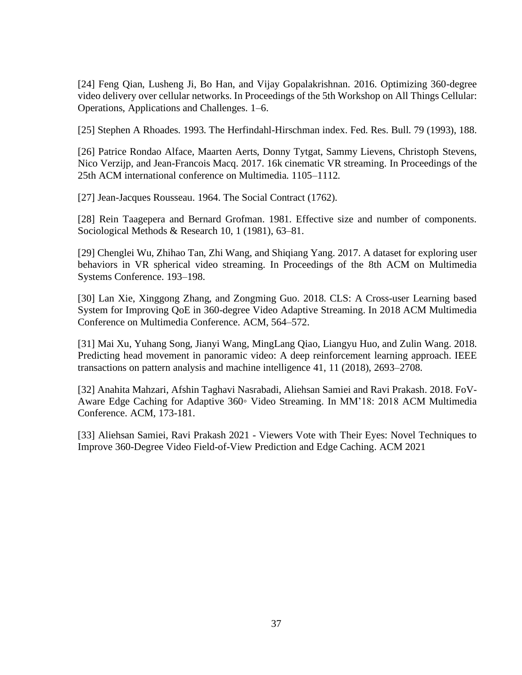[24] Feng Qian, Lusheng Ji, Bo Han, and Vijay Gopalakrishnan. 2016. Optimizing 360-degree video delivery over cellular networks. In Proceedings of the 5th Workshop on All Things Cellular: Operations, Applications and Challenges. 1–6.

[25] Stephen A Rhoades. 1993. The Herfindahl-Hirschman index. Fed. Res. Bull. 79 (1993), 188.

[26] Patrice Rondao Alface, Maarten Aerts, Donny Tytgat, Sammy Lievens, Christoph Stevens, Nico Verzijp, and Jean-Francois Macq. 2017. 16k cinematic VR streaming. In Proceedings of the 25th ACM international conference on Multimedia. 1105–1112.

[27] Jean-Jacques Rousseau. 1964. The Social Contract (1762).

[28] Rein Taagepera and Bernard Grofman. 1981. Effective size and number of components. Sociological Methods & Research 10, 1 (1981), 63–81.

[29] Chenglei Wu, Zhihao Tan, Zhi Wang, and Shiqiang Yang. 2017. A dataset for exploring user behaviors in VR spherical video streaming. In Proceedings of the 8th ACM on Multimedia Systems Conference. 193–198.

[30] Lan Xie, Xinggong Zhang, and Zongming Guo. 2018. CLS: A Cross-user Learning based System for Improving QoE in 360-degree Video Adaptive Streaming. In 2018 ACM Multimedia Conference on Multimedia Conference. ACM, 564–572.

[31] Mai Xu, Yuhang Song, Jianyi Wang, MingLang Qiao, Liangyu Huo, and Zulin Wang. 2018. Predicting head movement in panoramic video: A deep reinforcement learning approach. IEEE transactions on pattern analysis and machine intelligence 41, 11 (2018), 2693–2708.

[32] Anahita Mahzari, Afshin Taghavi Nasrabadi, Aliehsan Samiei and Ravi Prakash. 2018. FoV-Aware Edge Caching for Adaptive 360◦ Video Streaming. In MM'18: 2018 ACM Multimedia Conference. ACM, 173-181.

[33] Aliehsan Samiei, Ravi Prakash 2021 - Viewers Vote with Their Eyes: Novel Techniques to Improve 360-Degree Video Field-of-View Prediction and Edge Caching. ACM 2021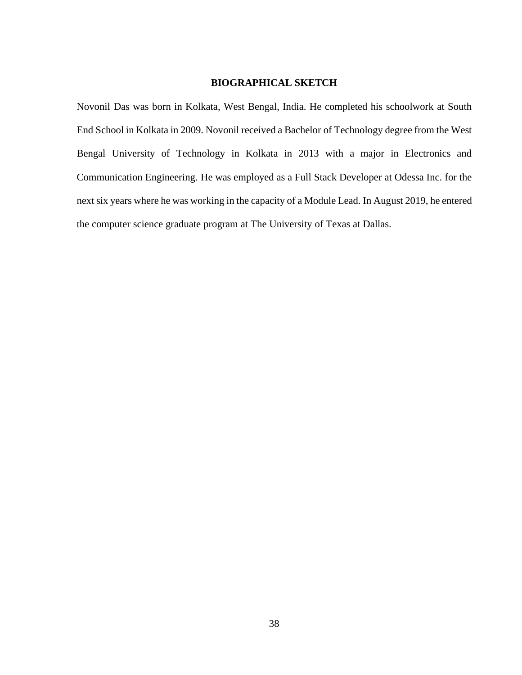#### **BIOGRAPHICAL SKETCH**

Novonil Das was born in Kolkata, West Bengal, India. He completed his schoolwork at South End School in Kolkata in 2009. Novonil received a Bachelor of Technology degree from the West Bengal University of Technology in Kolkata in 2013 with a major in Electronics and Communication Engineering. He was employed as a Full Stack Developer at Odessa Inc. for the next six years where he was working in the capacity of a Module Lead. In August 2019, he entered the computer science graduate program at The University of Texas at Dallas.